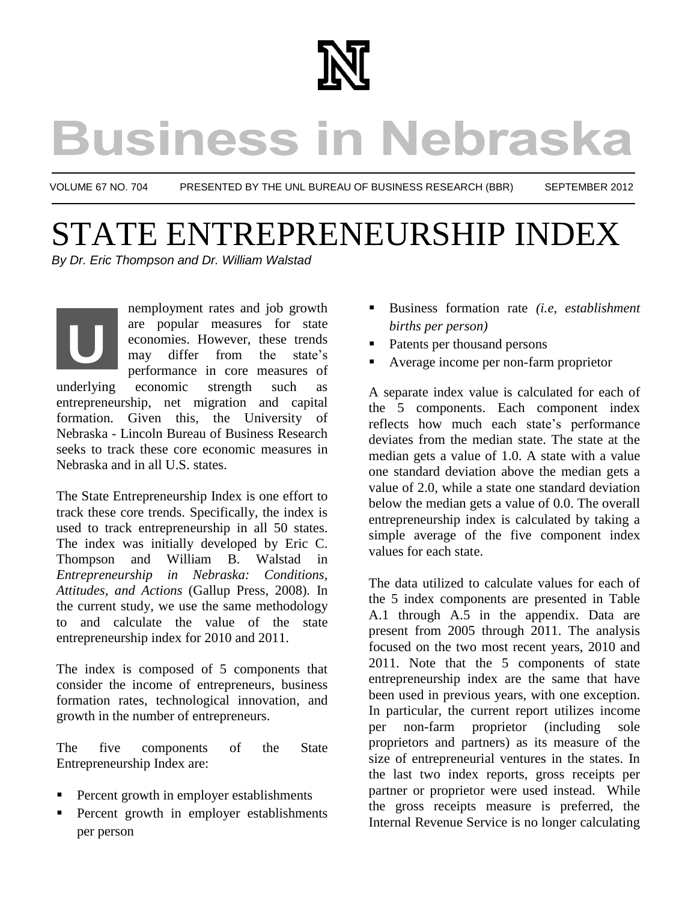

# **Business in Nebraska**

VOLUME 67 NO. 704 PRESENTED BY THE UNL BUREAU OF BUSINESS RESEARCH (BBR) SEPTEMBER 2012

### STATE ENTREPRENEURSHIP INDEX *By Dr. Eric Thompson and Dr. William Walstad*

nemployment rates and job growth are popular measures for state economies. However, these trends may differ from the state's performance in core measures of underlying economic strength such as entrepreneurship, net migration and capital formation. Given this, the University of Nebraska - Lincoln Bureau of Business Research seeks to track these core economic measures in Nebraska and in all U.S. states. **U** derlyii<br>treprei<br>hrask:

The State Entrepreneurship Index is one effort to track these core trends. Specifically, the index is used to track entrepreneurship in all 50 states. The index was initially developed by Eric C. Thompson and William B. Walstad in *Entrepreneurship in Nebraska: Conditions, Attitudes, and Actions* (Gallup Press, 2008)*.* In the current study, we use the same methodology to and calculate the value of the state entrepreneurship index for 2010 and 2011.

The index is composed of 5 components that consider the income of entrepreneurs, business formation rates, technological innovation, and growth in the number of entrepreneurs.

The five components of the State Entrepreneurship Index are:

- **Percent growth in employer establishments**
- Percent growth in employer establishments per person
- Business formation rate *(i.e, establishment births per person)*
- Patents per thousand persons
- Average income per non-farm proprietor

A separate index value is calculated for each of the 5 components. Each component index reflects how much each state's performance deviates from the median state. The state at the median gets a value of 1.0. A state with a value one standard deviation above the median gets a value of 2.0, while a state one standard deviation below the median gets a value of 0.0. The overall entrepreneurship index is calculated by taking a simple average of the five component index values for each state.

The data utilized to calculate values for each of the 5 index components are presented in Table A.1 through A.5 in the appendix. Data are present from 2005 through 2011. The analysis focused on the two most recent years, 2010 and 2011. Note that the 5 components of state entrepreneurship index are the same that have been used in previous years, with one exception. In particular, the current report utilizes income per non-farm proprietor (including sole proprietors and partners) as its measure of the size of entrepreneurial ventures in the states. In the last two index reports, gross receipts per partner or proprietor were used instead. While the gross receipts measure is preferred, the Internal Revenue Service is no longer calculating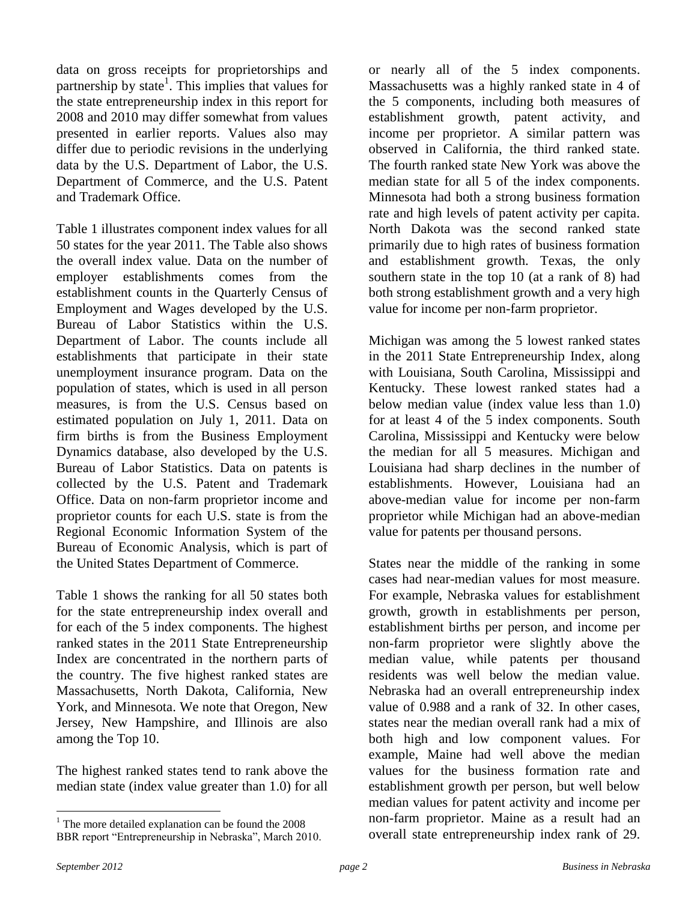data on gross receipts for proprietorships and partnership by state<sup>1</sup>. This implies that values for the state entrepreneurship index in this report for 2008 and 2010 may differ somewhat from values presented in earlier reports. Values also may differ due to periodic revisions in the underlying data by the U.S. Department of Labor, the U.S. Department of Commerce, and the U.S. Patent and Trademark Office.

Table 1 illustrates component index values for all 50 states for the year 2011. The Table also shows the overall index value. Data on the number of employer establishments comes from the establishment counts in the Quarterly Census of Employment and Wages developed by the U.S. Bureau of Labor Statistics within the U.S. Department of Labor. The counts include all establishments that participate in their state unemployment insurance program. Data on the population of states, which is used in all person measures, is from the U.S. Census based on estimated population on July 1, 2011. Data on firm births is from the Business Employment Dynamics database, also developed by the U.S. Bureau of Labor Statistics. Data on patents is collected by the U.S. Patent and Trademark Office. Data on non-farm proprietor income and proprietor counts for each U.S. state is from the Regional Economic Information System of the Bureau of Economic Analysis, which is part of the United States Department of Commerce.

Table 1 shows the ranking for all 50 states both for the state entrepreneurship index overall and for each of the 5 index components. The highest ranked states in the 2011 State Entrepreneurship Index are concentrated in the northern parts of the country. The five highest ranked states are Massachusetts, North Dakota, California, New York, and Minnesota. We note that Oregon, New Jersey, New Hampshire, and Illinois are also among the Top 10.

The highest ranked states tend to rank above the median state (index value greater than 1.0) for all

or nearly all of the 5 index components. Massachusetts was a highly ranked state in 4 of the 5 components, including both measures of establishment growth, patent activity, and income per proprietor. A similar pattern was observed in California, the third ranked state. The fourth ranked state New York was above the median state for all 5 of the index components. Minnesota had both a strong business formation rate and high levels of patent activity per capita. North Dakota was the second ranked state primarily due to high rates of business formation and establishment growth. Texas, the only southern state in the top 10 (at a rank of 8) had both strong establishment growth and a very high value for income per non-farm proprietor.

Michigan was among the 5 lowest ranked states in the 2011 State Entrepreneurship Index, along with Louisiana, South Carolina, Mississippi and Kentucky. These lowest ranked states had a below median value (index value less than 1.0) for at least 4 of the 5 index components. South Carolina, Mississippi and Kentucky were below the median for all 5 measures. Michigan and Louisiana had sharp declines in the number of establishments. However, Louisiana had an above-median value for income per non-farm proprietor while Michigan had an above-median value for patents per thousand persons.

States near the middle of the ranking in some cases had near-median values for most measure. For example, Nebraska values for establishment growth, growth in establishments per person, establishment births per person, and income per non-farm proprietor were slightly above the median value, while patents per thousand residents was well below the median value. Nebraska had an overall entrepreneurship index value of 0.988 and a rank of 32. In other cases, states near the median overall rank had a mix of both high and low component values. For example, Maine had well above the median values for the business formation rate and establishment growth per person, but well below median values for patent activity and income per non-farm proprietor. Maine as a result had an overall state entrepreneurship index rank of 29.

 $\overline{a}$ 

 $1$  The more detailed explanation can be found the 2008 BBR report "Entrepreneurship in Nebraska", March 2010.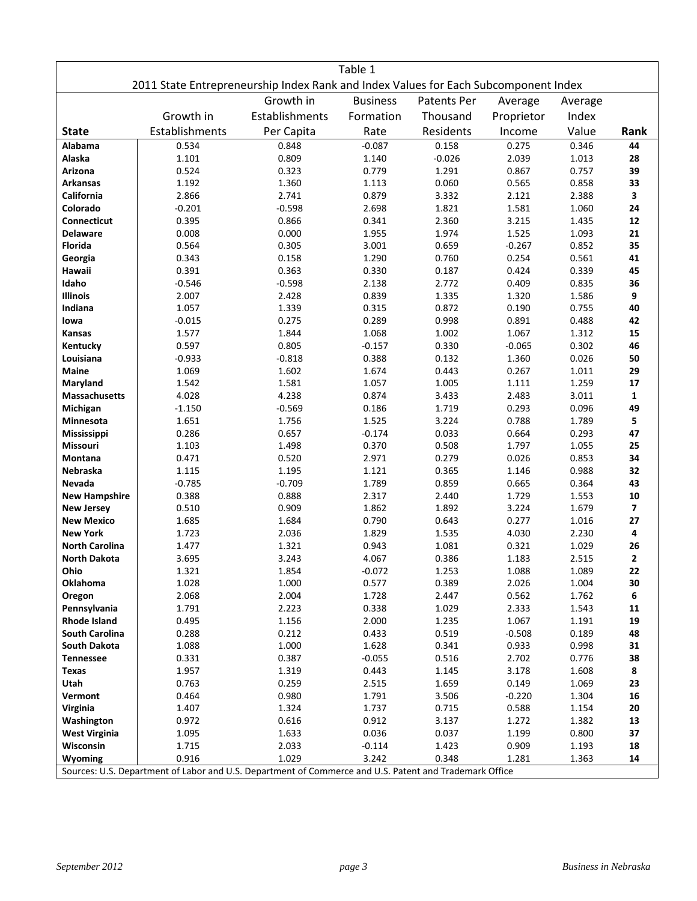|                                      |                                                                                                                 |                   | Table 1         |                |                |                |                         |
|--------------------------------------|-----------------------------------------------------------------------------------------------------------------|-------------------|-----------------|----------------|----------------|----------------|-------------------------|
|                                      | 2011 State Entrepreneurship Index Rank and Index Values for Each Subcomponent Index                             |                   |                 |                |                |                |                         |
|                                      |                                                                                                                 | Growth in         | <b>Business</b> | Patents Per    | Average        | Average        |                         |
|                                      | Growth in                                                                                                       | Establishments    | Formation       | Thousand       | Proprietor     | Index          |                         |
| <b>State</b>                         | Establishments                                                                                                  | Per Capita        | Rate            | Residents      | Income         | Value          | Rank                    |
| <b>Alabama</b>                       | 0.534                                                                                                           | 0.848             | $-0.087$        | 0.158          | 0.275          | 0.346          | 44                      |
| Alaska                               | 1.101                                                                                                           | 0.809             | 1.140           | $-0.026$       | 2.039          | 1.013          | 28                      |
| Arizona                              | 0.524                                                                                                           | 0.323             | 0.779           | 1.291          | 0.867          | 0.757          | 39                      |
| <b>Arkansas</b>                      | 1.192                                                                                                           | 1.360             | 1.113           | 0.060          | 0.565          | 0.858          | 33                      |
| California                           | 2.866                                                                                                           | 2.741             | 0.879           | 3.332          | 2.121          | 2.388          | 3                       |
| Colorado                             | $-0.201$                                                                                                        | $-0.598$          | 2.698           | 1.821          | 1.581          | 1.060          | 24                      |
| <b>Connecticut</b>                   | 0.395                                                                                                           | 0.866             | 0.341           | 2.360          | 3.215          | 1.435          | 12                      |
| <b>Delaware</b>                      | 0.008                                                                                                           | 0.000             | 1.955           | 1.974          | 1.525          | 1.093          | 21                      |
| Florida                              | 0.564                                                                                                           | 0.305             | 3.001           | 0.659          | $-0.267$       | 0.852          | 35                      |
| Georgia                              | 0.343                                                                                                           | 0.158             | 1.290           | 0.760          | 0.254          | 0.561          | 41                      |
| Hawaii<br>Idaho                      | 0.391                                                                                                           | 0.363             | 0.330           | 0.187<br>2.772 | 0.424<br>0.409 | 0.339          | 45<br>36                |
| <b>Illinois</b>                      | $-0.546$<br>2.007                                                                                               | $-0.598$<br>2.428 | 2.138           | 1.335          | 1.320          | 0.835          | 9                       |
| Indiana                              | 1.057                                                                                                           | 1.339             | 0.839<br>0.315  | 0.872          | 0.190          | 1.586<br>0.755 | 40                      |
| lowa                                 | $-0.015$                                                                                                        | 0.275             | 0.289           | 0.998          | 0.891          | 0.488          | 42                      |
| <b>Kansas</b>                        | 1.577                                                                                                           | 1.844             | 1.068           | 1.002          | 1.067          | 1.312          | 15                      |
| Kentucky                             | 0.597                                                                                                           | 0.805             | $-0.157$        | 0.330          | $-0.065$       | 0.302          | 46                      |
| Louisiana                            | $-0.933$                                                                                                        | $-0.818$          | 0.388           | 0.132          | 1.360          | 0.026          | 50                      |
| <b>Maine</b>                         | 1.069                                                                                                           | 1.602             | 1.674           | 0.443          | 0.267          | 1.011          | 29                      |
| Maryland                             | 1.542                                                                                                           | 1.581             | 1.057           | 1.005          | 1.111          | 1.259          | 17                      |
| <b>Massachusetts</b>                 | 4.028                                                                                                           | 4.238             | 0.874           | 3.433          | 2.483          | 3.011          | $\mathbf{1}$            |
| Michigan                             | $-1.150$                                                                                                        | $-0.569$          | 0.186           | 1.719          | 0.293          | 0.096          | 49                      |
| Minnesota                            | 1.651                                                                                                           | 1.756             | 1.525           | 3.224          | 0.788          | 1.789          | 5                       |
| Mississippi                          | 0.286                                                                                                           | 0.657             | $-0.174$        | 0.033          | 0.664          | 0.293          | 47                      |
| Missouri                             | 1.103                                                                                                           | 1.498             | 0.370           | 0.508          | 1.797          | 1.055          | 25                      |
| <b>Montana</b>                       | 0.471                                                                                                           | 0.520             | 2.971           | 0.279          | 0.026          | 0.853          | 34                      |
| Nebraska                             | 1.115                                                                                                           | 1.195             | 1.121           | 0.365          | 1.146          | 0.988          | 32                      |
| Nevada                               | $-0.785$                                                                                                        | $-0.709$          | 1.789           | 0.859          | 0.665          | 0.364          | 43                      |
| <b>New Hampshire</b>                 | 0.388                                                                                                           | 0.888             | 2.317           | 2.440          | 1.729          | 1.553          | ${\bf 10}$              |
| <b>New Jersey</b>                    | 0.510                                                                                                           | 0.909             | 1.862           | 1.892          | 3.224          | 1.679          | $\overline{\mathbf{z}}$ |
| <b>New Mexico</b><br><b>New York</b> | 1.685<br>1.723                                                                                                  | 1.684<br>2.036    | 0.790<br>1.829  | 0.643<br>1.535 | 0.277<br>4.030 | 1.016<br>2.230 | 27<br>4                 |
| <b>North Carolina</b>                | 1.477                                                                                                           | 1.321             | 0.943           | 1.081          | 0.321          | 1.029          | 26                      |
| <b>North Dakota</b>                  | 3.695                                                                                                           | 3.243             | 4.067           | 0.386          | 1.183          | 2.515          | $\mathbf 2$             |
| Ohio                                 | 1.321                                                                                                           | 1.854             | $-0.072$        | 1.253          | 1.088          | 1.089          | 22                      |
| Oklahoma                             | 1.028                                                                                                           | 1.000             | 0.577           | 0.389          | 2.026          | 1.004          | 30                      |
| Oregon                               | 2.068                                                                                                           | 2.004             | 1.728           | 2.447          | 0.562          | 1.762          | 6                       |
| Pennsylvania                         | 1.791                                                                                                           | 2.223             | 0.338           | 1.029          | 2.333          | 1.543          | ${\bf 11}$              |
| <b>Rhode Island</b>                  | 0.495                                                                                                           | 1.156             | 2.000           | 1.235          | 1.067          | 1.191          | 19                      |
| <b>South Carolina</b>                | 0.288                                                                                                           | 0.212             | 0.433           | 0.519          | $-0.508$       | 0.189          | 48                      |
| <b>South Dakota</b>                  | 1.088                                                                                                           | 1.000             | 1.628           | 0.341          | 0.933          | 0.998          | 31                      |
| <b>Tennessee</b>                     | 0.331                                                                                                           | 0.387             | $-0.055$        | 0.516          | 2.702          | 0.776          | 38                      |
| Texas                                | 1.957                                                                                                           | 1.319             | 0.443           | 1.145          | 3.178          | 1.608          | 8                       |
| Utah                                 | 0.763                                                                                                           | 0.259             | 2.515           | 1.659          | 0.149          | 1.069          | 23                      |
| Vermont                              | 0.464                                                                                                           | 0.980             | 1.791           | 3.506          | $-0.220$       | 1.304          | 16                      |
| Virginia                             | 1.407                                                                                                           | 1.324             | 1.737           | 0.715          | 0.588          | 1.154          | 20                      |
| Washington                           | 0.972                                                                                                           | 0.616             | 0.912           | 3.137          | 1.272          | 1.382          | 13                      |
| <b>West Virginia</b>                 | 1.095                                                                                                           | 1.633             | 0.036           | 0.037          | 1.199          | 0.800          | 37                      |
| Wisconsin                            | 1.715                                                                                                           | 2.033             | $-0.114$        | 1.423          | 0.909          | 1.193          | 18                      |
| Wyoming                              | 0.916<br>Sources: U.S. Denartment of Labor and U.S. Denartment of Commerce and U.S. Patent and Trademark Office | 1.029             | 3.242           | 0.348          | 1.281          | 1.363          | 14                      |

Sources: U.S. Department of Labor and U.S. Department of Commerce and U.S. Patent and Trademark Office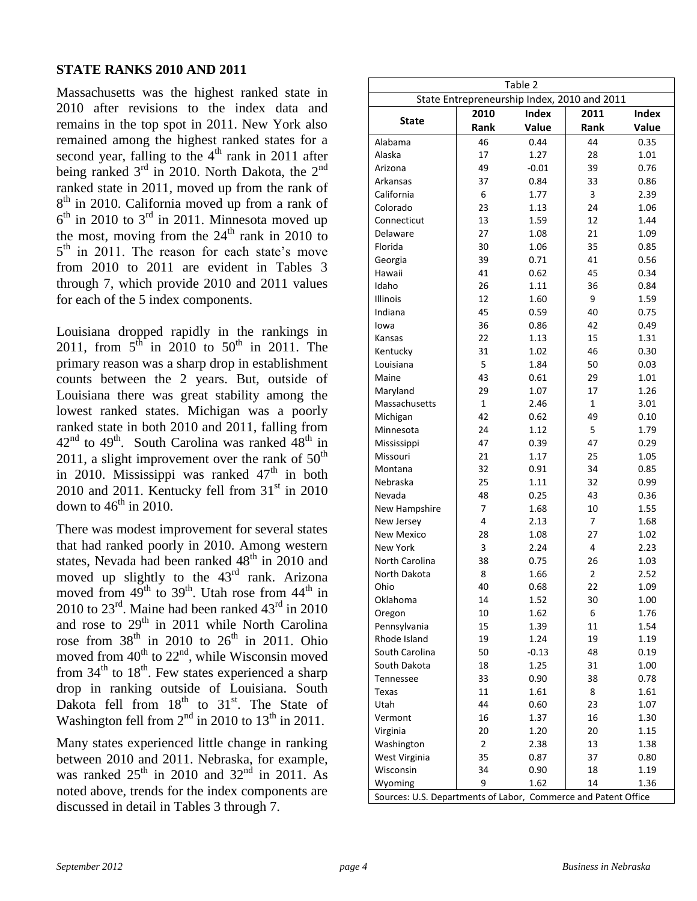#### **STATE RANKS 2010 AND 2011**

Massachusetts was the highest ranked state in 2010 after revisions to the index data and remains in the top spot in 2011. New York also remained among the highest ranked states for a second year, falling to the  $4<sup>th</sup>$  rank in 2011 after being ranked  $3<sup>rd</sup>$  in 2010. North Dakota, the  $2<sup>nd</sup>$ ranked state in 2011, moved up from the rank of 8<sup>th</sup> in 2010. California moved up from a rank of  $6<sup>th</sup>$  in 2010 to  $3<sup>rd</sup>$  in 2011. Minnesota moved up the most, moving from the  $24<sup>th</sup>$  rank in 2010 to 5<sup>th</sup> in 2011. The reason for each state's move from 2010 to 2011 are evident in Tables 3 through 7, which provide 2010 and 2011 values for each of the 5 index components.

Louisiana dropped rapidly in the rankings in 2011, from  $5^{\text{th}}$  in 2010 to  $50^{\text{th}}$  in 2011. The primary reason was a sharp drop in establishment counts between the 2 years. But, outside of Louisiana there was great stability among the lowest ranked states. Michigan was a poorly ranked state in both 2010 and 2011, falling from  $42<sup>nd</sup>$  to  $49<sup>th</sup>$ . South Carolina was ranked  $48<sup>th</sup>$  in 2011, a slight improvement over the rank of  $50<sup>th</sup>$ in 2010. Mississippi was ranked  $47<sup>th</sup>$  in both 2010 and 2011. Kentucky fell from  $31<sup>st</sup>$  in 2010 down to  $46<sup>th</sup>$  in 2010.

There was modest improvement for several states that had ranked poorly in 2010. Among western states, Nevada had been ranked  $48<sup>th</sup>$  in 2010 and moved up slightly to the 43<sup>rd</sup> rank. Arizona moved from  $49^{\text{th}}$  to  $39^{\text{th}}$ . Utah rose from  $44^{\text{th}}$  in 2010 to  $23^{\text{rd}}$ . Maine had been ranked  $43^{\text{rd}}$  in 2010 and rose to 29<sup>th</sup> in 2011 while North Carolina rose from  $38<sup>th</sup>$  in 2010 to  $26<sup>th</sup>$  in 2011. Ohio moved from  $40^{th}$  to  $22^{nd}$ , while Wisconsin moved from  $34<sup>th</sup>$  to  $18<sup>th</sup>$ . Few states experienced a sharp drop in ranking outside of Louisiana. South Dakota fell from  $18<sup>th</sup>$  to  $31<sup>st</sup>$ . The State of Washington fell from  $2<sup>nd</sup>$  in 2010 to 13<sup>th</sup> in 2011.

Many states experienced little change in ranking between 2010 and 2011. Nebraska, for example, was ranked  $25<sup>th</sup>$  in 2010 and  $32<sup>nd</sup>$  in 2011. As noted above, trends for the index components are discussed in detail in Tables 3 through 7.

| Table 2                                                        |                                             |              |                         |              |  |  |  |  |  |  |  |  |  |  |
|----------------------------------------------------------------|---------------------------------------------|--------------|-------------------------|--------------|--|--|--|--|--|--|--|--|--|--|
|                                                                | State Entrepreneurship Index, 2010 and 2011 |              |                         |              |  |  |  |  |  |  |  |  |  |  |
| <b>State</b>                                                   | 2010                                        | <b>Index</b> | 2011                    | <b>Index</b> |  |  |  |  |  |  |  |  |  |  |
|                                                                | Rank                                        | Value        | Rank                    | Value        |  |  |  |  |  |  |  |  |  |  |
| Alabama                                                        | 46                                          | 0.44         | 44                      | 0.35         |  |  |  |  |  |  |  |  |  |  |
| Alaska                                                         | 17                                          | 1.27         | 28                      | 1.01         |  |  |  |  |  |  |  |  |  |  |
| Arizona                                                        | 49                                          | $-0.01$      | 39                      | 0.76         |  |  |  |  |  |  |  |  |  |  |
| Arkansas                                                       | 37                                          | 0.84         | 33                      | 0.86         |  |  |  |  |  |  |  |  |  |  |
| California                                                     | 6                                           | 1.77         | 3                       | 2.39         |  |  |  |  |  |  |  |  |  |  |
| Colorado                                                       | 23                                          | 1.13         | 24                      | 1.06         |  |  |  |  |  |  |  |  |  |  |
| Connecticut                                                    | 13                                          | 1.59         | 12                      | 1.44         |  |  |  |  |  |  |  |  |  |  |
| Delaware                                                       | 27                                          | 1.08         | 21                      | 1.09         |  |  |  |  |  |  |  |  |  |  |
| Florida                                                        | 30                                          | 1.06         | 35                      | 0.85         |  |  |  |  |  |  |  |  |  |  |
| Georgia                                                        | 39                                          | 0.71         | 41                      | 0.56         |  |  |  |  |  |  |  |  |  |  |
| Hawaii                                                         | 41                                          | 0.62         | 45                      | 0.34         |  |  |  |  |  |  |  |  |  |  |
| Idaho                                                          | 26                                          | 1.11         | 36                      | 0.84         |  |  |  |  |  |  |  |  |  |  |
| <b>Illinois</b>                                                | 12                                          | 1.60         | 9                       | 1.59         |  |  |  |  |  |  |  |  |  |  |
| Indiana                                                        | 45                                          | 0.59         | 40                      | 0.75         |  |  |  |  |  |  |  |  |  |  |
| lowa                                                           | 36                                          | 0.86         | 42                      | 0.49         |  |  |  |  |  |  |  |  |  |  |
| Kansas                                                         | 22                                          | 1.13         | 15                      | 1.31         |  |  |  |  |  |  |  |  |  |  |
| Kentucky                                                       | 31                                          | 1.02         | 46                      | 0.30         |  |  |  |  |  |  |  |  |  |  |
| Louisiana                                                      | 5                                           | 1.84         | 50                      | 0.03         |  |  |  |  |  |  |  |  |  |  |
| Maine                                                          | 43                                          | 0.61         | 29                      | 1.01         |  |  |  |  |  |  |  |  |  |  |
| Maryland                                                       | 29                                          | 1.07         | 17                      | 1.26         |  |  |  |  |  |  |  |  |  |  |
| Massachusetts                                                  | 1                                           | 2.46         | 1                       | 3.01         |  |  |  |  |  |  |  |  |  |  |
| Michigan                                                       | 42                                          | 0.62         | 49                      | 0.10         |  |  |  |  |  |  |  |  |  |  |
| Minnesota                                                      | 24                                          | 1.12         | 5                       | 1.79         |  |  |  |  |  |  |  |  |  |  |
|                                                                | 47                                          |              | 47                      |              |  |  |  |  |  |  |  |  |  |  |
| Mississippi<br>Missouri                                        | 21                                          | 0.39<br>1.17 | 25                      | 0.29<br>1.05 |  |  |  |  |  |  |  |  |  |  |
|                                                                | 32                                          |              | 34                      |              |  |  |  |  |  |  |  |  |  |  |
| Montana                                                        | 25                                          | 0.91<br>1.11 | 32                      | 0.85         |  |  |  |  |  |  |  |  |  |  |
| Nebraska<br>Nevada                                             | 48                                          |              | 43                      | 0.99         |  |  |  |  |  |  |  |  |  |  |
|                                                                | $\overline{7}$                              | 0.25         | 10                      | 0.36         |  |  |  |  |  |  |  |  |  |  |
| New Hampshire                                                  |                                             | 1.68         |                         | 1.55         |  |  |  |  |  |  |  |  |  |  |
| New Jersey                                                     | 4                                           | 2.13         | 7                       | 1.68         |  |  |  |  |  |  |  |  |  |  |
| <b>New Mexico</b>                                              | 28                                          | 1.08         | 27                      | 1.02         |  |  |  |  |  |  |  |  |  |  |
| <b>New York</b>                                                | 3                                           | 2.24         | $\overline{4}$          | 2.23         |  |  |  |  |  |  |  |  |  |  |
| <b>North Carolina</b>                                          | 38                                          | 0.75         | 26                      | 1.03         |  |  |  |  |  |  |  |  |  |  |
| North Dakota                                                   | 8                                           | 1.66         | $\overline{\mathbf{c}}$ | 2.52         |  |  |  |  |  |  |  |  |  |  |
| Ohio                                                           | 40                                          | 0.68         | 22                      | 1.09         |  |  |  |  |  |  |  |  |  |  |
| Oklahoma                                                       | 14                                          | 1.52         | 30                      | 1.00         |  |  |  |  |  |  |  |  |  |  |
| Oregon                                                         | 10                                          | 1.62         | 6                       | 1.76         |  |  |  |  |  |  |  |  |  |  |
| Pennsylvania                                                   | 15                                          | 1.39         | 11                      | 1.54         |  |  |  |  |  |  |  |  |  |  |
| Rhode Island                                                   | 19                                          | 1.24         | 19                      | 1.19         |  |  |  |  |  |  |  |  |  |  |
| South Carolina                                                 | 50                                          | $-0.13$      | 48                      | 0.19         |  |  |  |  |  |  |  |  |  |  |
| South Dakota                                                   | 18                                          | 1.25         | 31                      | 1.00         |  |  |  |  |  |  |  |  |  |  |
| Tennessee                                                      | 33                                          | 0.90         | 38                      | 0.78         |  |  |  |  |  |  |  |  |  |  |
| Texas                                                          | 11                                          | 1.61         | 8                       | 1.61         |  |  |  |  |  |  |  |  |  |  |
| Utah                                                           | 44                                          | 0.60         | 23                      | 1.07         |  |  |  |  |  |  |  |  |  |  |
| Vermont                                                        | 16                                          | 1.37         | 16                      | 1.30         |  |  |  |  |  |  |  |  |  |  |
| Virginia                                                       | 20                                          | 1.20         | 20                      | 1.15         |  |  |  |  |  |  |  |  |  |  |
| Washington                                                     | 2                                           | 2.38         | 13                      | 1.38         |  |  |  |  |  |  |  |  |  |  |
| West Virginia                                                  | 35                                          | 0.87         | 37                      | 0.80         |  |  |  |  |  |  |  |  |  |  |
| Wisconsin                                                      | 34                                          | 0.90         | 18                      | 1.19         |  |  |  |  |  |  |  |  |  |  |
| Wyoming                                                        | 9                                           | 1.62         | 14                      | 1.36         |  |  |  |  |  |  |  |  |  |  |
| Sources: U.S. Departments of Labor, Commerce and Patent Office |                                             |              |                         |              |  |  |  |  |  |  |  |  |  |  |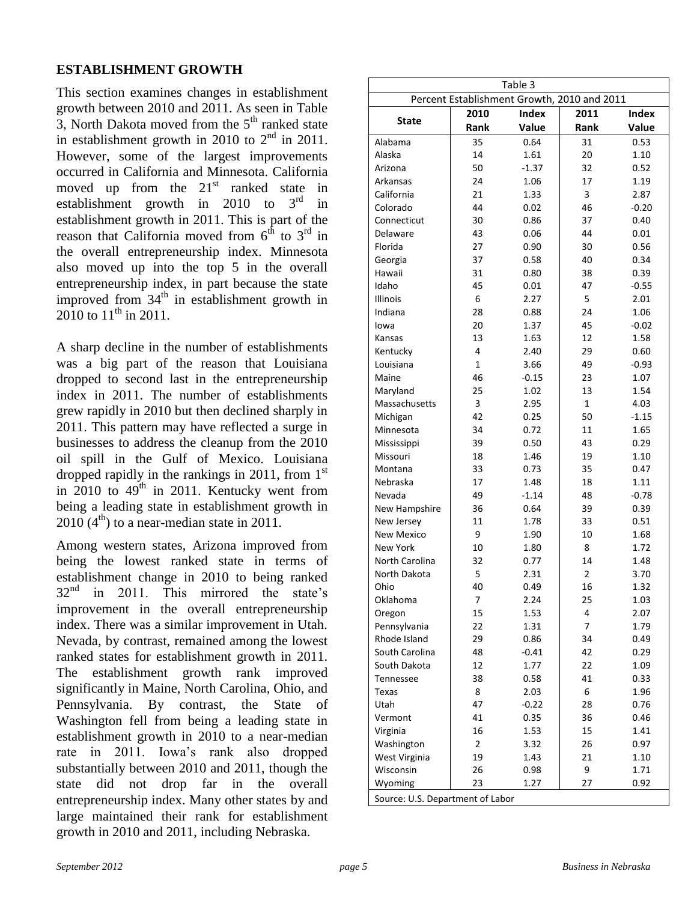#### **ESTABLISHMENT GROWTH**

This section examines changes in establishment growth between 2010 and 2011. As seen in Table 3, North Dakota moved from the  $5<sup>th</sup>$  ranked state in establishment growth in 2010 to  $2<sup>nd</sup>$  in 2011. However, some of the largest improvements occurred in California and Minnesota. California moved up from the  $21<sup>st</sup>$  ranked state in establishment growth in 2010 to  $3<sup>rd</sup>$  in establishment growth in 2011. This is part of the reason that California moved from  $6<sup>th</sup>$  to  $3<sup>rd</sup>$  in the overall entrepreneurship index. Minnesota also moved up into the top 5 in the overall entrepreneurship index, in part because the state improved from  $34<sup>th</sup>$  in establishment growth in 2010 to  $11^{\text{th}}$  in 2011.

A sharp decline in the number of establishments was a big part of the reason that Louisiana dropped to second last in the entrepreneurship index in 2011. The number of establishments grew rapidly in 2010 but then declined sharply in 2011. This pattern may have reflected a surge in businesses to address the cleanup from the 2010 oil spill in the Gulf of Mexico. Louisiana dropped rapidly in the rankings in 2011, from  $1<sup>st</sup>$ in 2010 to  $49<sup>th</sup>$  in 2011. Kentucky went from being a leading state in establishment growth in  $2010$  (4<sup>th</sup>) to a near-median state in 2011.

Among western states, Arizona improved from being the lowest ranked state in terms of establishment change in 2010 to being ranked  $32<sup>nd</sup>$  in 2011. This mirrored the state's improvement in the overall entrepreneurship index. There was a similar improvement in Utah. Nevada, by contrast, remained among the lowest ranked states for establishment growth in 2011. The establishment growth rank improved significantly in Maine, North Carolina, Ohio, and Pennsylvania. By contrast, the State of Washington fell from being a leading state in establishment growth in 2010 to a near-median rate in 2011. Iowa's rank also dropped substantially between 2010 and 2011, though the state did not drop far in the overall entrepreneurship index. Many other states by and large maintained their rank for establishment growth in 2010 and 2011, including Nebraska.

|                                  |                      | Table 3                                     |              |                       |
|----------------------------------|----------------------|---------------------------------------------|--------------|-----------------------|
|                                  |                      | Percent Establishment Growth, 2010 and 2011 |              |                       |
| <b>State</b>                     | 2010<br>Rank         | <b>Index</b><br>Value                       | 2011<br>Rank | <b>Index</b><br>Value |
| Alabama                          | 35                   | 0.64                                        | 31           | 0.53                  |
| Alaska                           | 14                   | 1.61                                        | 20           | 1.10                  |
| Arizona                          | 50                   | $-1.37$                                     | 32           | 0.52                  |
| Arkansas                         | 24                   | 1.06                                        | 17           | 1.19                  |
| California                       | 21                   | 1.33                                        | 3            | 2.87                  |
| Colorado                         | 44                   | 0.02                                        | 46           | $-0.20$               |
| Connecticut                      | 30                   | 0.86                                        | 37           | 0.40                  |
| Delaware                         | 43                   | 0.06                                        | 44           | 0.01                  |
| Florida                          | 27                   | 0.90                                        | 30           | 0.56                  |
| Georgia                          | 37                   | 0.58                                        | 40           | 0.34                  |
| Hawaii                           | 31                   | 0.80                                        | 38           | 0.39                  |
| Idaho                            | 45                   | 0.01                                        | 47           | $-0.55$               |
| Illinois                         | 6                    | 2.27                                        | 5            | 2.01                  |
| Indiana                          | 28                   | 0.88                                        | 24           | 1.06                  |
| lowa                             | 20                   | 1.37                                        | 45           | $-0.02$               |
| Kansas                           | 13                   | 1.63                                        | 12           | 1.58                  |
| Kentucky                         | 4                    | 2.40                                        | 29           | 0.60                  |
| Louisiana                        | $\mathbf{1}$         | 3.66                                        | 49           | $-0.93$               |
| Maine                            | 46                   | $-0.15$                                     | 23           | 1.07                  |
| Maryland                         | 25                   | 1.02                                        | 13           | 1.54                  |
| Massachusetts                    | 3                    | 2.95                                        | 1            | 4.03                  |
|                                  | 42                   | 0.25                                        | 50           | $-1.15$               |
| Michigan<br>Minnesota            | 34                   | 0.72                                        | 11           |                       |
|                                  | 39                   |                                             |              | 1.65                  |
| Mississippi                      | 18                   | 0.50<br>1.46                                | 43<br>19     | 0.29                  |
| Missouri<br>Montana              | 33                   | 0.73                                        | 35           | 1.10                  |
| Nebraska                         | 17                   | 1.48                                        | 18           | 0.47<br>1.11          |
| Nevada                           | 49                   | $-1.14$                                     | 48           | $-0.78$               |
|                                  | 36                   | 0.64                                        | 39           | 0.39                  |
| New Hampshire<br>New Jersey      | 11                   | 1.78                                        | 33           | 0.51                  |
| <b>New Mexico</b>                | 9                    | 1.90                                        | 10           | 1.68                  |
| New York                         | 10                   | 1.80                                        | 8            | 1.72                  |
| North Carolina                   | 32                   | 0.77                                        | 14           | 1.48                  |
| North Dakota                     | 5                    | 2.31                                        | 2            | 3.70                  |
| Ohio                             |                      | 0.49                                        |              |                       |
| Oklahoma                         | 40<br>7              | 2.24                                        | 16           | 1.32                  |
|                                  | 15                   | 1.53                                        | 25<br>4      | 1.03<br>2.07          |
| Oregon                           |                      |                                             |              |                       |
| Pennsylvania<br>Rhode Island     | 22                   | 1.31                                        | 7            | 1.79                  |
| South Carolina                   | 29                   | 0.86<br>$-0.41$                             | 34<br>42     | 0.49                  |
|                                  | 48<br>12             |                                             | 22           | 0.29                  |
| South Dakota                     |                      | 1.77                                        |              | 1.09                  |
| Tennessee                        | 38                   | 0.58                                        | 41           | 0.33                  |
| Texas                            | 8<br>47              | 2.03                                        | 6            | 1.96                  |
| Utah                             |                      | $-0.22$                                     | 28           | 0.76                  |
| Vermont                          | 41                   | 0.35                                        | 36           | 0.46                  |
| Virginia                         | 16<br>$\overline{2}$ | 1.53                                        | 15           | 1.41                  |
| Washington                       |                      | 3.32                                        | 26           | 0.97                  |
| West Virginia                    | 19                   | 1.43                                        | 21<br>9      | $1.10\,$<br>1.71      |
| Wisconsin                        | 26<br>23             | 0.98<br>1.27                                |              | 0.92                  |
| Wyoming                          |                      |                                             | 27           |                       |
| Source: U.S. Department of Labor |                      |                                             |              |                       |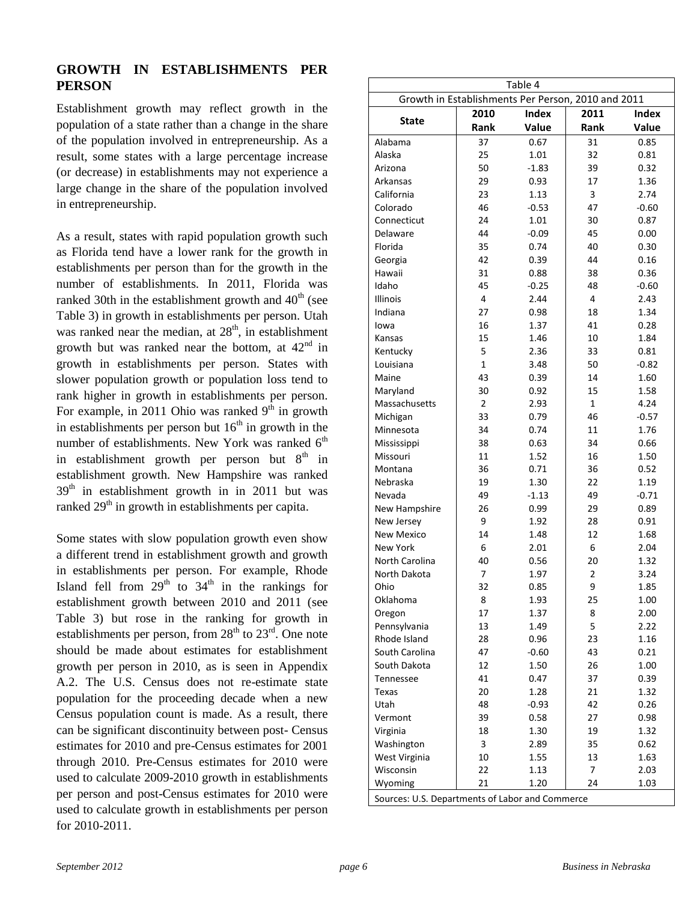#### **GROWTH IN ESTABLISHMENTS PER PERSON**

Establishment growth may reflect growth in the population of a state rather than a change in the share of the population involved in entrepreneurship. As a result, some states with a large percentage increase (or decrease) in establishments may not experience a large change in the share of the population involved in entrepreneurship.

As a result, states with rapid population growth such as Florida tend have a lower rank for the growth in establishments per person than for the growth in the number of establishments. In 2011, Florida was ranked 30th in the establishment growth and  $40<sup>th</sup>$  (see Table 3) in growth in establishments per person. Utah was ranked near the median, at  $28<sup>th</sup>$ , in establishment growth but was ranked near the bottom, at  $42<sup>nd</sup>$  in growth in establishments per person. States with slower population growth or population loss tend to rank higher in growth in establishments per person. For example, in 2011 Ohio was ranked  $9<sup>th</sup>$  in growth in establishments per person but  $16<sup>th</sup>$  in growth in the number of establishments. New York was ranked  $6<sup>th</sup>$ in establishment growth per person but  $8<sup>th</sup>$  in establishment growth. New Hampshire was ranked  $39<sup>th</sup>$  in establishment growth in in 2011 but was ranked  $29<sup>th</sup>$  in growth in establishments per capita.

Some states with slow population growth even show a different trend in establishment growth and growth in establishments per person. For example, Rhode Island fell from  $29<sup>th</sup>$  to  $34<sup>th</sup>$  in the rankings for establishment growth between 2010 and 2011 (see Table 3) but rose in the ranking for growth in establishments per person, from  $28<sup>th</sup>$  to  $23<sup>rd</sup>$ . One note should be made about estimates for establishment growth per person in 2010, as is seen in Appendix A.2. The U.S. Census does not re-estimate state population for the proceeding decade when a new Census population count is made. As a result, there can be significant discontinuity between post- Census estimates for 2010 and pre-Census estimates for 2001 through 2010. Pre-Census estimates for 2010 were used to calculate 2009-2010 growth in establishments per person and post-Census estimates for 2010 were used to calculate growth in establishments per person for 2010-2011.

| Growth in Establishments Per Person, 2010 and 2011 |                | Table 4      |                |                |
|----------------------------------------------------|----------------|--------------|----------------|----------------|
|                                                    |                | <b>Index</b> | 2011           |                |
| <b>State</b>                                       | 2010<br>Rank   | Value        | Rank           | Index<br>Value |
| Alabama                                            | 37             | 0.67         | 31             | 0.85           |
| Alaska                                             | 25             | 1.01         | 32             | 0.81           |
| Arizona                                            | 50             | $-1.83$      | 39             | 0.32           |
| Arkansas                                           | 29             | 0.93         | 17             | 1.36           |
| California                                         | 23             | 1.13         | 3              | 2.74           |
| Colorado                                           | 46             | $-0.53$      | 47             | $-0.60$        |
| Connecticut                                        | 24             | 1.01         | 30             | 0.87           |
| Delaware                                           | 44             | $-0.09$      | 45             | 0.00           |
| Florida                                            | 35             | 0.74         | 40             | 0.30           |
| Georgia                                            | 42             | 0.39         | 44             | 0.16           |
| Hawaii                                             | 31             | 0.88         | 38             | 0.36           |
| Idaho                                              | 45             | $-0.25$      | 48             | $-0.60$        |
| Illinois                                           | $\overline{4}$ | 2.44         | 4              | 2.43           |
| Indiana                                            | 27             | 0.98         | 18             | 1.34           |
| lowa                                               | 16             | 1.37         | 41             | 0.28           |
| Kansas                                             | 15             | 1.46         | 10             | 1.84           |
| Kentucky                                           | 5              | 2.36         | 33             | 0.81           |
| Louisiana                                          | 1              | 3.48         | 50             | $-0.82$        |
| Maine                                              | 43             | 0.39         | 14             | 1.60           |
| Maryland                                           | 30             | 0.92         | 15             | 1.58           |
| Massachusetts                                      | $\overline{2}$ | 2.93         | $\mathbf{1}$   | 4.24           |
| Michigan                                           | 33             | 0.79         | 46             | $-0.57$        |
| Minnesota                                          | 34             | 0.74         | 11             | 1.76           |
| Mississippi                                        | 38             | 0.63         | 34             | 0.66           |
| Missouri                                           | 11             | 1.52         | 16             | 1.50           |
| Montana                                            | 36             | 0.71         | 36             | 0.52           |
| Nebraska                                           | 19             | 1.30         | 22             | 1.19           |
| Nevada                                             | 49             | $-1.13$      | 49             | $-0.71$        |
| New Hampshire                                      | 26             | 0.99         | 29             | 0.89           |
| New Jersey                                         | 9              | 1.92         | 28             | 0.91           |
| <b>New Mexico</b>                                  | 14             | 1.48         | 12             | 1.68           |
| <b>New York</b>                                    | 6              | 2.01         | 6              | 2.04           |
| North Carolina                                     | 40             | 0.56         | 20             | 1.32           |
| North Dakota                                       | 7              | 1.97         | $\overline{2}$ | 3.24           |
| Ohio                                               | 32             | 0.85         | 9              | 1.85           |
| Oklahoma                                           | 8              | 1.93         | 25             | 1.00           |
| Oregon                                             | 17             | 1.37         | 8              | 2.00           |
| Pennsylvania                                       | 13             | 1.49         | 5              | 2.22           |
| Rhode Island                                       | 28             | 0.96         | 23             | 1.16           |
| South Carolina                                     | 47             | $-0.60$      | 43             | 0.21           |
| South Dakota                                       | 12             | 1.50         | 26             | 1.00           |
| Tennessee                                          | 41             | 0.47         | 37             | 0.39           |
| Texas                                              | 20             | 1.28         | 21             | 1.32           |
| Utah                                               | 48             | $-0.93$      | 42             | 0.26           |
| Vermont                                            | 39             | 0.58         | 27             | 0.98           |
| Virginia                                           | 18             | 1.30         | 19             | 1.32           |
| Washington                                         | 3              | 2.89         | 35             | 0.62           |
| West Virginia                                      | 10             | 1.55         | 13             | 1.63           |
| Wisconsin                                          | 22             | 1.13         | 7              | 2.03           |
| Wyoming                                            | 21             | 1.20         | 24             | 1.03           |
|                                                    |                |              |                |                |
| Sources: U.S. Departments of Labor and Commerce    |                |              |                |                |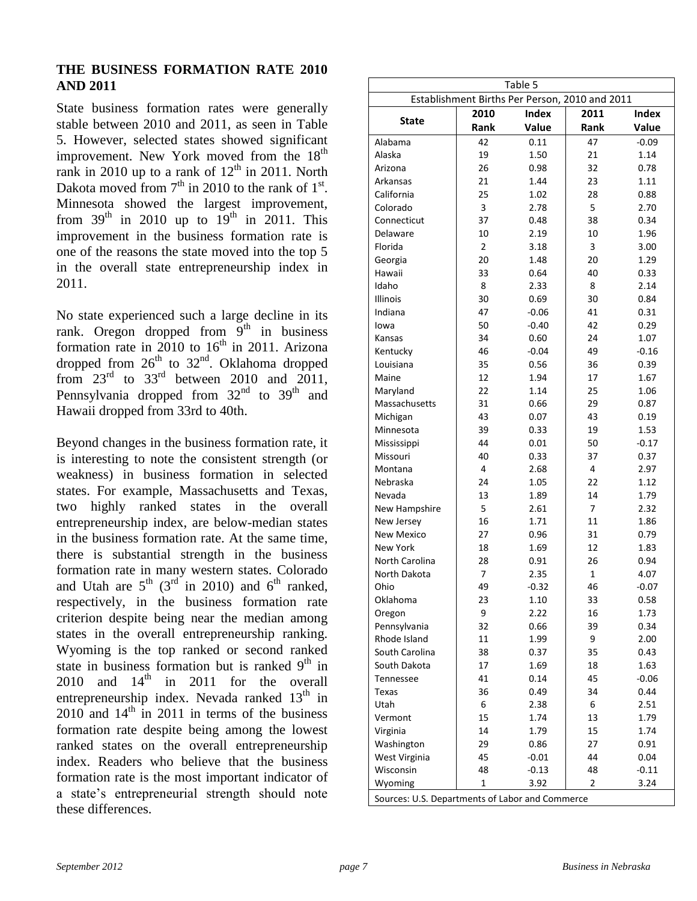#### **THE BUSINESS FORMATION RATE 2010 AND 2011**

State business formation rates were generally stable between 2010 and 2011, as seen in Table 5. However, selected states showed significant improvement. New York moved from the 18<sup>th</sup> rank in 2010 up to a rank of  $12<sup>th</sup>$  in 2011. North Dakota moved from  $7<sup>th</sup>$  in 2010 to the rank of  $1<sup>st</sup>$ . Minnesota showed the largest improvement, from  $39<sup>th</sup>$  in 2010 up to  $19<sup>th</sup>$  in 2011. This improvement in the business formation rate is one of the reasons the state moved into the top 5 in the overall state entrepreneurship index in 2011.

No state experienced such a large decline in its rank. Oregon dropped from  $9<sup>th</sup>$  in business formation rate in 2010 to  $16<sup>th</sup>$  in 2011. Arizona dropped from  $26<sup>th</sup>$  to  $32<sup>nd</sup>$ . Oklahoma dropped from  $23^{\text{rd}}$  to  $33^{\text{rd}}$  between 2010 and 2011, Pennsylvania dropped from 32<sup>nd</sup> to 39<sup>th</sup> and Hawaii dropped from 33rd to 40th.

Beyond changes in the business formation rate, it is interesting to note the consistent strength (or weakness) in business formation in selected states. For example, Massachusetts and Texas, two highly ranked states in the overall entrepreneurship index, are below-median states in the business formation rate. At the same time, there is substantial strength in the business formation rate in many western states. Colorado and Utah are  $5^{th}$  (3<sup>rd</sup> in 2010) and  $6^{th}$  ranked, respectively, in the business formation rate criterion despite being near the median among states in the overall entrepreneurship ranking. Wyoming is the top ranked or second ranked state in business formation but is ranked  $9<sup>th</sup>$  in 2010 and  $14<sup>th</sup>$  in 2011 for the overall entrepreneurship index. Nevada ranked 13<sup>th</sup> in  $2010$  and  $14<sup>th</sup>$  in 2011 in terms of the business formation rate despite being among the lowest ranked states on the overall entrepreneurship index. Readers who believe that the business formation rate is the most important indicator of a state's entrepreneurial strength should note these differences.

| Table 5<br>Establishment Births Per Person, 2010 and 2011 |                |         |                |         |  |  |  |  |  |  |  |  |
|-----------------------------------------------------------|----------------|---------|----------------|---------|--|--|--|--|--|--|--|--|
| 2010<br>Index<br>2011<br><b>Index</b>                     |                |         |                |         |  |  |  |  |  |  |  |  |
| <b>State</b>                                              | Rank           | Value   | Rank           | Value   |  |  |  |  |  |  |  |  |
| Alabama                                                   | 42             | 0.11    | 47             | $-0.09$ |  |  |  |  |  |  |  |  |
| Alaska                                                    | 19             | 1.50    | 21             | 1.14    |  |  |  |  |  |  |  |  |
| Arizona                                                   | 26             | 0.98    | 32             | 0.78    |  |  |  |  |  |  |  |  |
| Arkansas                                                  | 21             | 1.44    | 23             | 1.11    |  |  |  |  |  |  |  |  |
| California                                                | 25             | 1.02    | 28             | 0.88    |  |  |  |  |  |  |  |  |
| Colorado                                                  | 3              | 2.78    | 5              | 2.70    |  |  |  |  |  |  |  |  |
| Connecticut                                               | 37             | 0.48    | 38             | 0.34    |  |  |  |  |  |  |  |  |
| Delaware                                                  | 10             | 2.19    | 10             | 1.96    |  |  |  |  |  |  |  |  |
| Florida                                                   | $\overline{2}$ | 3.18    | 3              | 3.00    |  |  |  |  |  |  |  |  |
| Georgia                                                   | 20             | 1.48    | 20             | 1.29    |  |  |  |  |  |  |  |  |
| Hawaii                                                    | 33             | 0.64    | 40             | 0.33    |  |  |  |  |  |  |  |  |
| Idaho                                                     | 8              | 2.33    | 8              | 2.14    |  |  |  |  |  |  |  |  |
| Illinois                                                  | 30             | 0.69    | 30             | 0.84    |  |  |  |  |  |  |  |  |
| Indiana                                                   | 47             | $-0.06$ | 41             | 0.31    |  |  |  |  |  |  |  |  |
| lowa                                                      | 50             | $-0.40$ | 42             | 0.29    |  |  |  |  |  |  |  |  |
| Kansas                                                    | 34             | 0.60    | 24             | 1.07    |  |  |  |  |  |  |  |  |
| Kentucky                                                  | 46             | $-0.04$ | 49             | $-0.16$ |  |  |  |  |  |  |  |  |
| Louisiana                                                 | 35             | 0.56    | 36             | 0.39    |  |  |  |  |  |  |  |  |
| Maine                                                     | 12             | 1.94    | 17             | 1.67    |  |  |  |  |  |  |  |  |
| Maryland                                                  | 22             | 1.14    | 25             | 1.06    |  |  |  |  |  |  |  |  |
| Massachusetts                                             | 31             | 0.66    | 29             | 0.87    |  |  |  |  |  |  |  |  |
| Michigan                                                  | 43             | 0.07    | 43             | 0.19    |  |  |  |  |  |  |  |  |
| Minnesota                                                 | 39             | 0.33    | 19             | 1.53    |  |  |  |  |  |  |  |  |
| Mississippi                                               | 44             | 0.01    | 50             | $-0.17$ |  |  |  |  |  |  |  |  |
| Missouri                                                  | 40             | 0.33    | 37             | 0.37    |  |  |  |  |  |  |  |  |
| Montana                                                   | 4              | 2.68    | 4              | 2.97    |  |  |  |  |  |  |  |  |
| Nebraska                                                  | 24             | 1.05    | 22             | 1.12    |  |  |  |  |  |  |  |  |
| Nevada                                                    | 13             | 1.89    | 14             | 1.79    |  |  |  |  |  |  |  |  |
| New Hampshire                                             | 5              | 2.61    | 7              | 2.32    |  |  |  |  |  |  |  |  |
| New Jersey                                                | 16             | 1.71    | 11             | 1.86    |  |  |  |  |  |  |  |  |
| New Mexico                                                | 27             | 0.96    | 31             | 0.79    |  |  |  |  |  |  |  |  |
| New York                                                  | 18             | 1.69    | 12             | 1.83    |  |  |  |  |  |  |  |  |
| <b>North Carolina</b>                                     | 28             | 0.91    | 26             | 0.94    |  |  |  |  |  |  |  |  |
| North Dakota                                              | 7              | 2.35    | $\mathbf 1$    | 4.07    |  |  |  |  |  |  |  |  |
| Ohio                                                      | 49             | $-0.32$ | 46             | $-0.07$ |  |  |  |  |  |  |  |  |
| Oklahoma                                                  | 23             | 1.10    | 33             | 0.58    |  |  |  |  |  |  |  |  |
| Oregon                                                    | 9              | 2.22    | 16             | 1.73    |  |  |  |  |  |  |  |  |
| Pennsylvania                                              | 32             | 0.66    | 39             | 0.34    |  |  |  |  |  |  |  |  |
| Rhode Island                                              | 11             | 1.99    | 9              | 2.00    |  |  |  |  |  |  |  |  |
| South Carolina                                            | 38             | 0.37    | 35             | 0.43    |  |  |  |  |  |  |  |  |
| South Dakota                                              | 17             | 1.69    | 18             | 1.63    |  |  |  |  |  |  |  |  |
| Tennessee                                                 | 41             | 0.14    | 45             | $-0.06$ |  |  |  |  |  |  |  |  |
| Texas                                                     | 36             | 0.49    | 34             | 0.44    |  |  |  |  |  |  |  |  |
| Utah                                                      | 6              | 2.38    | 6              | 2.51    |  |  |  |  |  |  |  |  |
| Vermont                                                   | 15             | 1.74    | 13             | 1.79    |  |  |  |  |  |  |  |  |
| Virginia                                                  | 14             | 1.79    | 15             | 1.74    |  |  |  |  |  |  |  |  |
| Washington                                                | 29             | 0.86    | 27             | 0.91    |  |  |  |  |  |  |  |  |
| West Virginia                                             | 45             | $-0.01$ | 44             | 0.04    |  |  |  |  |  |  |  |  |
| Wisconsin                                                 | 48             | $-0.13$ | 48             | $-0.11$ |  |  |  |  |  |  |  |  |
| Wyoming                                                   | $\mathbf{1}$   | 3.92    | $\overline{2}$ | 3.24    |  |  |  |  |  |  |  |  |
| Sources: U.S. Departments of Labor and Commerce           |                |         |                |         |  |  |  |  |  |  |  |  |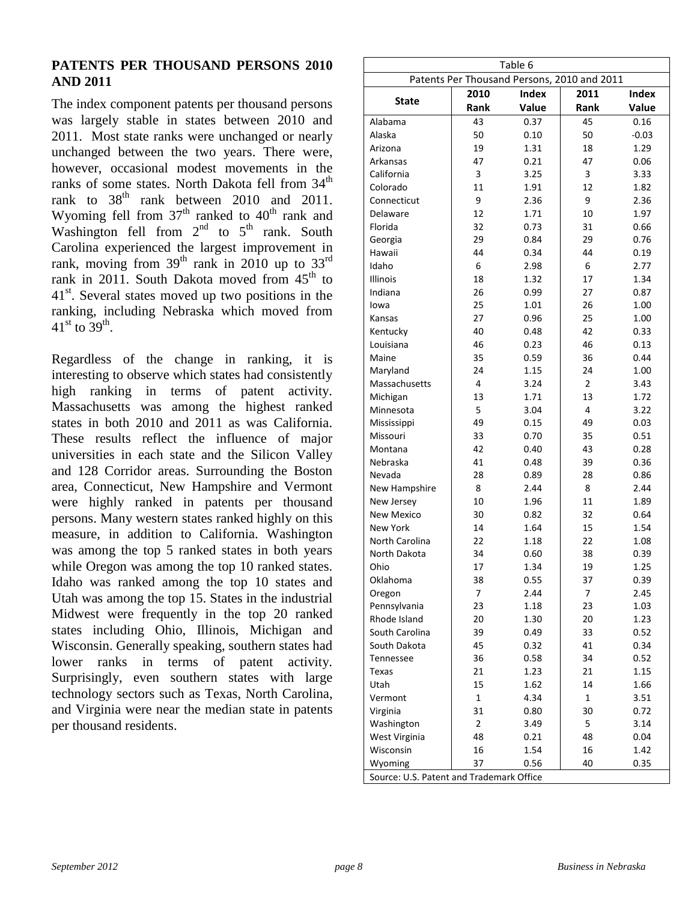#### **PATENTS PER THOUSAND PERSONS 2010 AND 2011**

The index component patents per thousand persons was largely stable in states between 2010 and 2011. Most state ranks were unchanged or nearly unchanged between the two years. There were, however, occasional modest movements in the ranks of some states. North Dakota fell from  $34<sup>th</sup>$ rank to  $38<sup>th</sup>$  rank between 2010 and 2011. Wyoming fell from  $37<sup>th</sup>$  ranked to  $40<sup>th</sup>$  rank and Washington fell from  $2<sup>nd</sup>$  to  $5<sup>th</sup>$  rank. South Carolina experienced the largest improvement in rank, moving from  $39<sup>th</sup>$  rank in 2010 up to  $33<sup>rd</sup>$ rank in 2011. South Dakota moved from  $45<sup>th</sup>$  to  $41<sup>st</sup>$ . Several states moved up two positions in the ranking, including Nebraska which moved from  $41^{\text{st}}$  to  $39^{\text{th}}$ .

Regardless of the change in ranking, it is interesting to observe which states had consistently high ranking in terms of patent activity. Massachusetts was among the highest ranked states in both 2010 and 2011 as was California. These results reflect the influence of major universities in each state and the Silicon Valley and 128 Corridor areas. Surrounding the Boston area, Connecticut, New Hampshire and Vermont were highly ranked in patents per thousand persons. Many western states ranked highly on this measure, in addition to California. Washington was among the top 5 ranked states in both years while Oregon was among the top 10 ranked states. Idaho was ranked among the top 10 states and Utah was among the top 15. States in the industrial Midwest were frequently in the top 20 ranked states including Ohio, Illinois, Michigan and Wisconsin. Generally speaking, southern states had lower ranks in terms of patent activity. Surprisingly, even southern states with large technology sectors such as Texas, North Carolina, and Virginia were near the median state in patents per thousand residents.

| Table 6<br>Patents Per Thousand Persons, 2010 and 2011 |                |              |                |              |  |  |  |  |  |  |  |  |
|--------------------------------------------------------|----------------|--------------|----------------|--------------|--|--|--|--|--|--|--|--|
|                                                        | 2010           | <b>Index</b> | 2011           | <b>Index</b> |  |  |  |  |  |  |  |  |
| <b>State</b>                                           | Rank           | Value        | Rank           | Value        |  |  |  |  |  |  |  |  |
| Alabama                                                | 43             | 0.37         | 45             | 0.16         |  |  |  |  |  |  |  |  |
| Alaska                                                 | 50             | 0.10         | 50             | $-0.03$      |  |  |  |  |  |  |  |  |
| Arizona                                                | 19             | 1.31         | 18             | 1.29         |  |  |  |  |  |  |  |  |
| Arkansas                                               | 47             | 0.21         | 47             | 0.06         |  |  |  |  |  |  |  |  |
| California                                             | 3              | 3.25         | 3              | 3.33         |  |  |  |  |  |  |  |  |
| Colorado                                               | 11             | 1.91         | 12             | 1.82         |  |  |  |  |  |  |  |  |
| Connecticut                                            | 9              | 2.36         | 9              | 2.36         |  |  |  |  |  |  |  |  |
| Delaware                                               | 12             | 1.71         | 10             | 1.97         |  |  |  |  |  |  |  |  |
| Florida                                                | 32             | 0.73         | 31             | 0.66         |  |  |  |  |  |  |  |  |
| Georgia                                                | 29             | 0.84         | 29             | 0.76         |  |  |  |  |  |  |  |  |
| Hawaii                                                 | 44             | 0.34         | 44             | 0.19         |  |  |  |  |  |  |  |  |
| Idaho                                                  | 6              | 2.98         | 6              | 2.77         |  |  |  |  |  |  |  |  |
| Illinois                                               | 18             | 1.32         | 17             | 1.34         |  |  |  |  |  |  |  |  |
| Indiana                                                | 26             | 0.99         | 27             | 0.87         |  |  |  |  |  |  |  |  |
| lowa                                                   | 25             | 1.01         | 26             | 1.00         |  |  |  |  |  |  |  |  |
| Kansas                                                 | 27             | 0.96         | 25             | 1.00         |  |  |  |  |  |  |  |  |
| Kentucky                                               | 40             | 0.48         | 42             | 0.33         |  |  |  |  |  |  |  |  |
| Louisiana                                              | 46             | 0.23         | 46             | 0.13         |  |  |  |  |  |  |  |  |
| Maine                                                  | 35             | 0.59         | 36             | 0.44         |  |  |  |  |  |  |  |  |
| Maryland                                               | 24             | 1.15         | 24             | 1.00         |  |  |  |  |  |  |  |  |
| Massachusetts                                          | 4              | 3.24         | $\overline{2}$ | 3.43         |  |  |  |  |  |  |  |  |
| Michigan                                               | 13             | 1.71         | 13             | 1.72         |  |  |  |  |  |  |  |  |
| Minnesota                                              | 5              | 3.04         | $\overline{4}$ | 3.22         |  |  |  |  |  |  |  |  |
|                                                        | 49             | 0.15         | 49             | 0.03         |  |  |  |  |  |  |  |  |
| Mississippi<br>Missouri                                | 33             | 0.70         | 35             | 0.51         |  |  |  |  |  |  |  |  |
|                                                        | 42             |              | 43             |              |  |  |  |  |  |  |  |  |
| Montana                                                |                | 0.40         |                | 0.28         |  |  |  |  |  |  |  |  |
| Nebraska                                               | 41             | 0.48         | 39             | 0.36         |  |  |  |  |  |  |  |  |
| Nevada                                                 | 28             | 0.89         | 28             | 0.86         |  |  |  |  |  |  |  |  |
| New Hampshire                                          | 8              | 2.44         | 8              | 2.44         |  |  |  |  |  |  |  |  |
| New Jersey                                             | 10             | 1.96         | 11             | 1.89         |  |  |  |  |  |  |  |  |
| <b>New Mexico</b>                                      | 30             | 0.82         | 32             | 0.64         |  |  |  |  |  |  |  |  |
| New York                                               | 14             | 1.64         | 15             | 1.54         |  |  |  |  |  |  |  |  |
| North Carolina                                         | 22             | 1.18         | 22             | 1.08         |  |  |  |  |  |  |  |  |
| North Dakota                                           | 34             | 0.60         | 38             | 0.39         |  |  |  |  |  |  |  |  |
| Ohio                                                   | 17             | 1.34         | 19             | 1.25         |  |  |  |  |  |  |  |  |
| Oklahoma                                               | 38             | 0.55         | 37             | 0.39         |  |  |  |  |  |  |  |  |
| Oregon                                                 | 7              | 2.44         | 7              | 2.45         |  |  |  |  |  |  |  |  |
| Pennsylvania                                           | 23             | 1.18         | 23             | 1.03         |  |  |  |  |  |  |  |  |
| Rhode Island                                           | 20             | 1.30         | 20             | 1.23         |  |  |  |  |  |  |  |  |
| South Carolina                                         | 39             | 0.49         | 33             | 0.52         |  |  |  |  |  |  |  |  |
| South Dakota                                           | 45             | 0.32         | 41             | 0.34         |  |  |  |  |  |  |  |  |
| <b>Tennessee</b>                                       | 36             | 0.58         | 34             | 0.52         |  |  |  |  |  |  |  |  |
| Texas                                                  | 21             | 1.23         | 21             | 1.15         |  |  |  |  |  |  |  |  |
| Utah                                                   | 15             | 1.62         | 14             | 1.66         |  |  |  |  |  |  |  |  |
| Vermont                                                | $\mathbf 1$    | 4.34         | 1              | 3.51         |  |  |  |  |  |  |  |  |
| Virginia                                               | 31             | 0.80         | 30             | 0.72         |  |  |  |  |  |  |  |  |
| Washington                                             | $\overline{2}$ | 3.49         | 5              | 3.14         |  |  |  |  |  |  |  |  |
| West Virginia                                          | 48             | 0.21         | 48             | 0.04         |  |  |  |  |  |  |  |  |
| Wisconsin                                              | 16             | 1.54         | 16             | 1.42         |  |  |  |  |  |  |  |  |
| Wyoming                                                | 37             | 0.56         | 40             | 0.35         |  |  |  |  |  |  |  |  |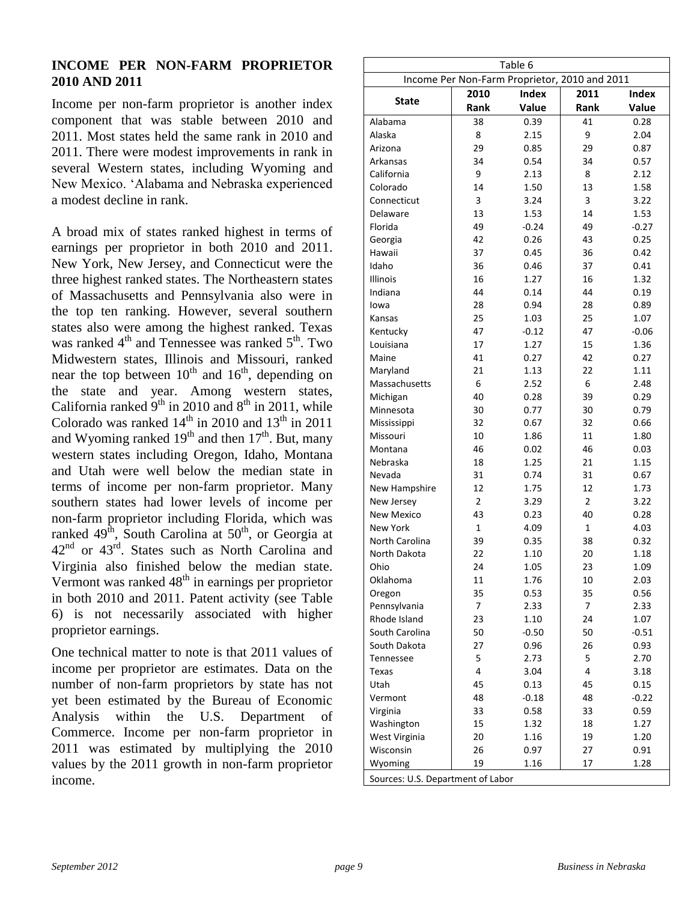#### **INCOME PER NON-FARM PROPRIETOR 2010 AND 2011**

Income per non-farm proprietor is another index component that was stable between 2010 and 2011. Most states held the same rank in 2010 and 2011. There were modest improvements in rank in several Western states, including Wyoming and New Mexico. 'Alabama and Nebraska experienced a modest decline in rank.

A broad mix of states ranked highest in terms of earnings per proprietor in both 2010 and 2011. New York, New Jersey, and Connecticut were the three highest ranked states. The Northeastern states of Massachusetts and Pennsylvania also were in the top ten ranking. However, several southern states also were among the highest ranked. Texas was ranked  $4<sup>th</sup>$  and Tennessee was ranked  $5<sup>th</sup>$ . Two Midwestern states, Illinois and Missouri, ranked near the top between  $10^{th}$  and  $16^{th}$ , depending on the state and year. Among western states, California ranked  $9<sup>th</sup>$  in 2010 and  $8<sup>th</sup>$  in 2011, while Colorado was ranked  $14<sup>th</sup>$  in 2010 and  $13<sup>th</sup>$  in 2011 and Wyoming ranked  $19<sup>th</sup>$  and then  $17<sup>th</sup>$ . But, many western states including Oregon, Idaho, Montana and Utah were well below the median state in terms of income per non-farm proprietor. Many southern states had lower levels of income per non-farm proprietor including Florida, which was ranked  $49<sup>th</sup>$ , South Carolina at  $50<sup>th</sup>$ , or Georgia at 42<sup>nd</sup> or 43<sup>rd</sup>. States such as North Carolina and Virginia also finished below the median state. Vermont was ranked  $48<sup>th</sup>$  in earnings per proprietor in both 2010 and 2011. Patent activity (see Table 6) is not necessarily associated with higher proprietor earnings.

One technical matter to note is that 2011 values of income per proprietor are estimates. Data on the number of non-farm proprietors by state has not yet been estimated by the Bureau of Economic Analysis within the U.S. Department of Commerce. Income per non-farm proprietor in 2011 was estimated by multiplying the 2010 values by the 2011 growth in non-farm proprietor income.

|                                   |                                               | Table 6      |                |         |
|-----------------------------------|-----------------------------------------------|--------------|----------------|---------|
|                                   | Income Per Non-Farm Proprietor, 2010 and 2011 |              |                |         |
| <b>State</b>                      | 2010                                          | <b>Index</b> | 2011           | Index   |
|                                   | Rank                                          | Value        | Rank           | Value   |
| Alabama                           | 38                                            | 0.39         | 41             | 0.28    |
| Alaska                            | 8                                             | 2.15         | 9              | 2.04    |
| Arizona                           | 29                                            | 0.85         | 29             | 0.87    |
| Arkansas                          | 34                                            | 0.54         | 34             | 0.57    |
| California                        | 9                                             | 2.13         | 8              | 2.12    |
| Colorado                          | 14                                            | 1.50         | 13             | 1.58    |
| Connecticut                       | 3                                             | 3.24         | 3              | 3.22    |
| Delaware                          | 13                                            | 1.53         | 14             | 1.53    |
| Florida                           | 49                                            | $-0.24$      | 49             | $-0.27$ |
| Georgia                           | 42                                            | 0.26         | 43             | 0.25    |
| Hawaii                            | 37                                            | 0.45         | 36             | 0.42    |
| Idaho                             | 36                                            | 0.46         | 37             | 0.41    |
| Illinois                          | 16                                            | 1.27         | 16             | 1.32    |
| Indiana                           | 44                                            | 0.14         | 44             | 0.19    |
| lowa                              | 28                                            | 0.94         | 28             | 0.89    |
| Kansas                            | 25                                            | 1.03         | 25             | 1.07    |
| Kentucky                          | 47                                            | $-0.12$      | 47             | $-0.06$ |
| Louisiana                         | 17                                            | 1.27         | 15             | 1.36    |
| Maine                             | 41                                            | 0.27         | 42             | 0.27    |
| Maryland                          | 21                                            | 1.13         | 22             | 1.11    |
| Massachusetts                     | 6                                             | 2.52         | 6              | 2.48    |
| Michigan                          | 40                                            | 0.28         | 39             | 0.29    |
| Minnesota                         | 30                                            | 0.77         | 30             | 0.79    |
| Mississippi                       | 32                                            | 0.67         | 32             | 0.66    |
| Missouri                          | 10                                            | 1.86         | 11             | 1.80    |
| Montana                           | 46                                            | 0.02         | 46             | 0.03    |
| Nebraska                          | 18                                            | 1.25         | 21             | 1.15    |
| Nevada                            | 31                                            | 0.74         | 31             | 0.67    |
| New Hampshire                     | 12                                            | 1.75         | 12             | 1.73    |
| New Jersey                        | $\overline{2}$                                | 3.29         | $\overline{2}$ | 3.22    |
| <b>New Mexico</b>                 | 43                                            | 0.23         | 40             | 0.28    |
| New York                          | $\mathbf 1$                                   | 4.09         | 1              | 4.03    |
| North Carolina                    | 39                                            | 0.35         | 38             | 0.32    |
| North Dakota                      | 22                                            | 1.10         | 20             | 1.18    |
| Ohio                              | 24                                            | 1.05         | 23             | 1.09    |
| Oklahoma                          | 11                                            | 1.76         | 10             | 2.03    |
| Oregon                            | 35                                            | 0.53         | 35             | 0.56    |
| Pennsylvania                      | 7                                             | 2.33         | 7              | 2.33    |
| Rhode Island                      | 23                                            | 1.10         | 24             | 1.07    |
| South Carolina                    | 50                                            | $-0.50$      | 50             | $-0.51$ |
| South Dakota                      | 27                                            | 0.96         | 26             | 0.93    |
| <b>Tennessee</b>                  | 5                                             | 2.73         | 5              | 2.70    |
| Texas                             | 4                                             | 3.04         | 4              | 3.18    |
| Utah                              | 45                                            | 0.13         | 45             | 0.15    |
| Vermont                           | 48                                            | $-0.18$      | 48             | $-0.22$ |
| Virginia                          | 33                                            | 0.58         | 33             | 0.59    |
| Washington                        | 15                                            | 1.32         | 18             | 1.27    |
| West Virginia                     | 20                                            | 1.16         | 19             | 1.20    |
| Wisconsin                         | 26                                            | 0.97         | 27             | 0.91    |
| Wyoming                           | 19                                            | 1.16         | 17             | 1.28    |
| Sources: U.S. Department of Labor |                                               |              |                |         |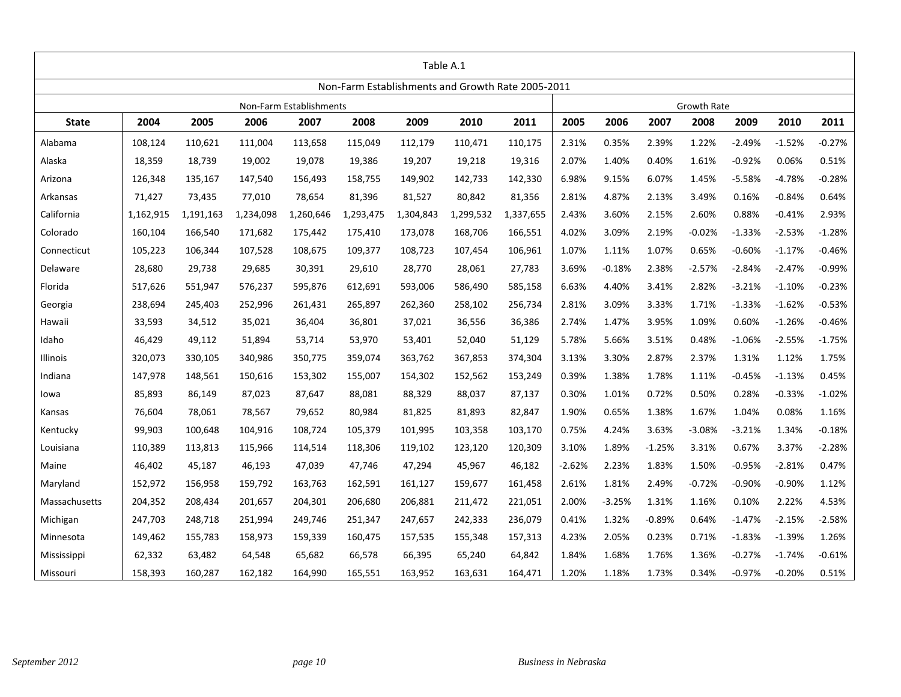| Table A.1     |           |           |           |                         |                                                   |           |           |           |          |          |          |             |          |          |          |
|---------------|-----------|-----------|-----------|-------------------------|---------------------------------------------------|-----------|-----------|-----------|----------|----------|----------|-------------|----------|----------|----------|
|               |           |           |           |                         | Non-Farm Establishments and Growth Rate 2005-2011 |           |           |           |          |          |          |             |          |          |          |
|               |           |           |           | Non-Farm Establishments |                                                   |           |           |           |          |          |          | Growth Rate |          |          |          |
| <b>State</b>  | 2004      | 2005      | 2006      | 2007                    | 2008                                              | 2009      | 2010      | 2011      | 2005     | 2006     | 2007     | 2008        | 2009     | 2010     | 2011     |
| Alabama       | 108,124   | 110,621   | 111,004   | 113,658                 | 115,049                                           | 112,179   | 110,471   | 110,175   | 2.31%    | 0.35%    | 2.39%    | 1.22%       | $-2.49%$ | $-1.52%$ | $-0.27%$ |
| Alaska        | 18,359    | 18,739    | 19,002    | 19,078                  | 19,386                                            | 19,207    | 19,218    | 19,316    | 2.07%    | 1.40%    | 0.40%    | 1.61%       | $-0.92%$ | 0.06%    | 0.51%    |
| Arizona       | 126,348   | 135,167   | 147,540   | 156,493                 | 158,755                                           | 149,902   | 142,733   | 142,330   | 6.98%    | 9.15%    | 6.07%    | 1.45%       | $-5.58%$ | $-4.78%$ | $-0.28%$ |
| Arkansas      | 71,427    | 73,435    | 77,010    | 78,654                  | 81,396                                            | 81,527    | 80,842    | 81,356    | 2.81%    | 4.87%    | 2.13%    | 3.49%       | 0.16%    | $-0.84%$ | 0.64%    |
| California    | 1,162,915 | 1,191,163 | 1,234,098 | 1,260,646               | 1,293,475                                         | 1,304,843 | 1,299,532 | 1,337,655 | 2.43%    | 3.60%    | 2.15%    | 2.60%       | 0.88%    | $-0.41%$ | 2.93%    |
| Colorado      | 160,104   | 166,540   | 171,682   | 175,442                 | 175,410                                           | 173,078   | 168,706   | 166,551   | 4.02%    | 3.09%    | 2.19%    | $-0.02%$    | $-1.33%$ | $-2.53%$ | $-1.28%$ |
| Connecticut   | 105,223   | 106,344   | 107,528   | 108,675                 | 109,377                                           | 108,723   | 107,454   | 106,961   | 1.07%    | 1.11%    | 1.07%    | 0.65%       | $-0.60%$ | $-1.17%$ | $-0.46%$ |
| Delaware      | 28,680    | 29,738    | 29,685    | 30,391                  | 29,610                                            | 28,770    | 28,061    | 27,783    | 3.69%    | $-0.18%$ | 2.38%    | $-2.57%$    | $-2.84%$ | $-2.47%$ | $-0.99%$ |
| Florida       | 517,626   | 551,947   | 576,237   | 595,876                 | 612,691                                           | 593,006   | 586,490   | 585,158   | 6.63%    | 4.40%    | 3.41%    | 2.82%       | $-3.21%$ | $-1.10%$ | $-0.23%$ |
| Georgia       | 238,694   | 245,403   | 252,996   | 261,431                 | 265,897                                           | 262,360   | 258,102   | 256,734   | 2.81%    | 3.09%    | 3.33%    | 1.71%       | $-1.33%$ | $-1.62%$ | $-0.53%$ |
| Hawaii        | 33,593    | 34,512    | 35,021    | 36,404                  | 36,801                                            | 37,021    | 36,556    | 36,386    | 2.74%    | 1.47%    | 3.95%    | 1.09%       | 0.60%    | $-1.26%$ | $-0.46%$ |
| Idaho         | 46,429    | 49,112    | 51,894    | 53,714                  | 53,970                                            | 53,401    | 52,040    | 51,129    | 5.78%    | 5.66%    | 3.51%    | 0.48%       | $-1.06%$ | $-2.55%$ | $-1.75%$ |
| Illinois      | 320,073   | 330,105   | 340,986   | 350,775                 | 359,074                                           | 363,762   | 367,853   | 374,304   | 3.13%    | 3.30%    | 2.87%    | 2.37%       | 1.31%    | 1.12%    | 1.75%    |
| Indiana       | 147,978   | 148,561   | 150,616   | 153,302                 | 155,007                                           | 154,302   | 152,562   | 153,249   | 0.39%    | 1.38%    | 1.78%    | 1.11%       | $-0.45%$ | $-1.13%$ | 0.45%    |
| lowa          | 85,893    | 86,149    | 87,023    | 87,647                  | 88,081                                            | 88,329    | 88,037    | 87,137    | 0.30%    | 1.01%    | 0.72%    | 0.50%       | 0.28%    | $-0.33%$ | $-1.02%$ |
| Kansas        | 76,604    | 78,061    | 78,567    | 79,652                  | 80,984                                            | 81,825    | 81,893    | 82,847    | 1.90%    | 0.65%    | 1.38%    | 1.67%       | 1.04%    | 0.08%    | 1.16%    |
| Kentucky      | 99,903    | 100,648   | 104,916   | 108,724                 | 105,379                                           | 101,995   | 103,358   | 103,170   | 0.75%    | 4.24%    | 3.63%    | $-3.08%$    | $-3.21%$ | 1.34%    | $-0.18%$ |
| Louisiana     | 110,389   | 113,813   | 115,966   | 114,514                 | 118,306                                           | 119,102   | 123,120   | 120,309   | 3.10%    | 1.89%    | $-1.25%$ | 3.31%       | 0.67%    | 3.37%    | $-2.28%$ |
| Maine         | 46,402    | 45,187    | 46,193    | 47,039                  | 47,746                                            | 47,294    | 45,967    | 46,182    | $-2.62%$ | 2.23%    | 1.83%    | 1.50%       | $-0.95%$ | $-2.81%$ | 0.47%    |
| Maryland      | 152,972   | 156,958   | 159,792   | 163,763                 | 162,591                                           | 161,127   | 159,677   | 161,458   | 2.61%    | 1.81%    | 2.49%    | $-0.72%$    | $-0.90%$ | $-0.90%$ | 1.12%    |
| Massachusetts | 204,352   | 208,434   | 201,657   | 204,301                 | 206,680                                           | 206,881   | 211,472   | 221,051   | 2.00%    | $-3.25%$ | 1.31%    | 1.16%       | 0.10%    | 2.22%    | 4.53%    |
| Michigan      | 247,703   | 248,718   | 251,994   | 249,746                 | 251,347                                           | 247,657   | 242,333   | 236,079   | 0.41%    | 1.32%    | $-0.89%$ | 0.64%       | $-1.47%$ | $-2.15%$ | $-2.58%$ |
| Minnesota     | 149,462   | 155,783   | 158,973   | 159,339                 | 160,475                                           | 157,535   | 155,348   | 157,313   | 4.23%    | 2.05%    | 0.23%    | 0.71%       | $-1.83%$ | $-1.39%$ | 1.26%    |
| Mississippi   | 62,332    | 63,482    | 64,548    | 65,682                  | 66,578                                            | 66,395    | 65,240    | 64,842    | 1.84%    | 1.68%    | 1.76%    | 1.36%       | $-0.27%$ | $-1.74%$ | $-0.61%$ |
| Missouri      | 158,393   | 160,287   | 162,182   | 164,990                 | 165,551                                           | 163,952   | 163,631   | 164,471   | 1.20%    | 1.18%    | 1.73%    | 0.34%       | $-0.97%$ | $-0.20%$ | 0.51%    |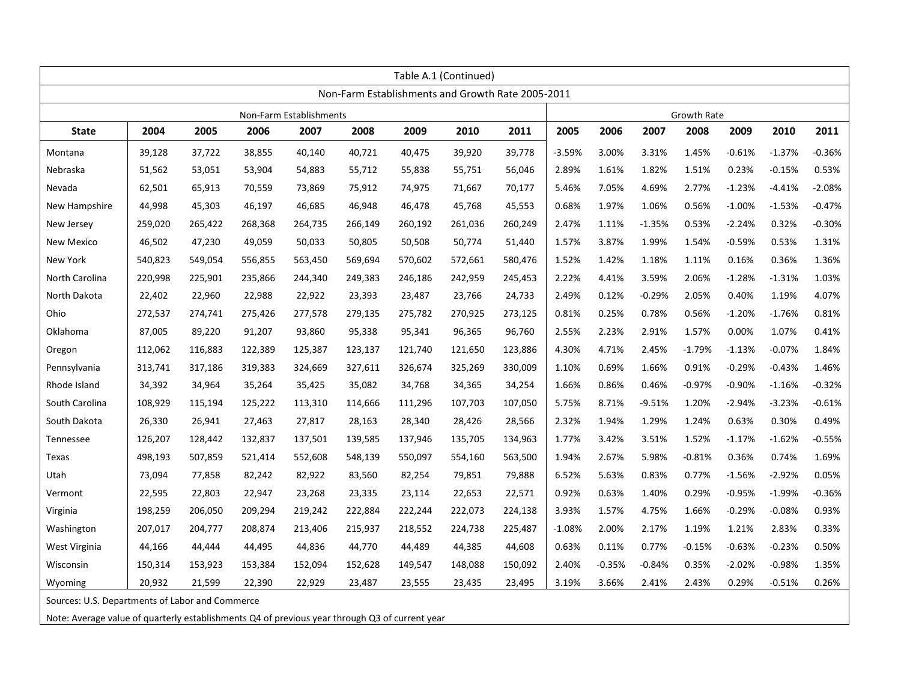| Table A.1 (Continued) |         |         |         |                         |         |                                                   |         |         |          |          |          |                    |          |          |          |
|-----------------------|---------|---------|---------|-------------------------|---------|---------------------------------------------------|---------|---------|----------|----------|----------|--------------------|----------|----------|----------|
|                       |         |         |         |                         |         | Non-Farm Establishments and Growth Rate 2005-2011 |         |         |          |          |          |                    |          |          |          |
|                       |         |         |         | Non-Farm Establishments |         |                                                   |         |         |          |          |          | <b>Growth Rate</b> |          |          |          |
| <b>State</b>          | 2004    | 2005    | 2006    | 2007                    | 2008    | 2009                                              | 2010    | 2011    | 2005     | 2006     | 2007     | 2008               | 2009     | 2010     | 2011     |
| Montana               | 39,128  | 37,722  | 38,855  | 40,140                  | 40,721  | 40,475                                            | 39,920  | 39,778  | $-3.59%$ | 3.00%    | 3.31%    | 1.45%              | $-0.61%$ | $-1.37%$ | $-0.36%$ |
| Nebraska              | 51,562  | 53,051  | 53,904  | 54,883                  | 55,712  | 55,838                                            | 55,751  | 56,046  | 2.89%    | 1.61%    | 1.82%    | 1.51%              | 0.23%    | $-0.15%$ | 0.53%    |
| Nevada                | 62,501  | 65,913  | 70,559  | 73,869                  | 75,912  | 74,975                                            | 71,667  | 70,177  | 5.46%    | 7.05%    | 4.69%    | 2.77%              | $-1.23%$ | $-4.41%$ | $-2.08%$ |
| New Hampshire         | 44,998  | 45,303  | 46,197  | 46,685                  | 46,948  | 46,478                                            | 45,768  | 45,553  | 0.68%    | 1.97%    | 1.06%    | 0.56%              | $-1.00%$ | $-1.53%$ | $-0.47%$ |
| New Jersey            | 259,020 | 265,422 | 268,368 | 264,735                 | 266,149 | 260,192                                           | 261,036 | 260,249 | 2.47%    | 1.11%    | $-1.35%$ | 0.53%              | $-2.24%$ | 0.32%    | $-0.30%$ |
| New Mexico            | 46,502  | 47,230  | 49,059  | 50,033                  | 50,805  | 50,508                                            | 50,774  | 51,440  | 1.57%    | 3.87%    | 1.99%    | 1.54%              | $-0.59%$ | 0.53%    | 1.31%    |
| New York              | 540,823 | 549,054 | 556,855 | 563,450                 | 569,694 | 570,602                                           | 572,661 | 580,476 | 1.52%    | 1.42%    | 1.18%    | 1.11%              | 0.16%    | 0.36%    | 1.36%    |
| North Carolina        | 220,998 | 225,901 | 235,866 | 244,340                 | 249,383 | 246,186                                           | 242,959 | 245,453 | 2.22%    | 4.41%    | 3.59%    | 2.06%              | $-1.28%$ | $-1.31%$ | 1.03%    |
| North Dakota          | 22,402  | 22,960  | 22,988  | 22,922                  | 23,393  | 23,487                                            | 23,766  | 24,733  | 2.49%    | 0.12%    | $-0.29%$ | 2.05%              | 0.40%    | 1.19%    | 4.07%    |
| Ohio                  | 272,537 | 274,741 | 275,426 | 277,578                 | 279,135 | 275,782                                           | 270,925 | 273,125 | 0.81%    | 0.25%    | 0.78%    | 0.56%              | $-1.20%$ | $-1.76%$ | 0.81%    |
| Oklahoma              | 87,005  | 89,220  | 91,207  | 93,860                  | 95,338  | 95,341                                            | 96,365  | 96,760  | 2.55%    | 2.23%    | 2.91%    | 1.57%              | 0.00%    | 1.07%    | 0.41%    |
| Oregon                | 112,062 | 116,883 | 122,389 | 125,387                 | 123,137 | 121,740                                           | 121,650 | 123,886 | 4.30%    | 4.71%    | 2.45%    | $-1.79%$           | $-1.13%$ | $-0.07%$ | 1.84%    |
| Pennsylvania          | 313,741 | 317,186 | 319,383 | 324,669                 | 327,611 | 326,674                                           | 325,269 | 330,009 | 1.10%    | 0.69%    | 1.66%    | 0.91%              | $-0.29%$ | $-0.43%$ | 1.46%    |
| Rhode Island          | 34,392  | 34,964  | 35,264  | 35,425                  | 35,082  | 34,768                                            | 34,365  | 34,254  | 1.66%    | 0.86%    | 0.46%    | $-0.97%$           | $-0.90%$ | $-1.16%$ | $-0.32%$ |
| South Carolina        | 108,929 | 115,194 | 125,222 | 113,310                 | 114,666 | 111,296                                           | 107,703 | 107,050 | 5.75%    | 8.71%    | $-9.51%$ | 1.20%              | $-2.94%$ | $-3.23%$ | $-0.61%$ |
| South Dakota          | 26,330  | 26,941  | 27,463  | 27,817                  | 28,163  | 28,340                                            | 28,426  | 28,566  | 2.32%    | 1.94%    | 1.29%    | 1.24%              | 0.63%    | 0.30%    | 0.49%    |
| Tennessee             | 126,207 | 128,442 | 132,837 | 137,501                 | 139,585 | 137,946                                           | 135,705 | 134,963 | 1.77%    | 3.42%    | 3.51%    | 1.52%              | $-1.17%$ | $-1.62%$ | $-0.55%$ |
| Texas                 | 498,193 | 507,859 | 521,414 | 552,608                 | 548,139 | 550,097                                           | 554,160 | 563,500 | 1.94%    | 2.67%    | 5.98%    | $-0.81%$           | 0.36%    | 0.74%    | 1.69%    |
| Utah                  | 73,094  | 77,858  | 82,242  | 82,922                  | 83,560  | 82,254                                            | 79,851  | 79,888  | 6.52%    | 5.63%    | 0.83%    | 0.77%              | $-1.56%$ | $-2.92%$ | 0.05%    |
| Vermont               | 22,595  | 22,803  | 22,947  | 23,268                  | 23,335  | 23,114                                            | 22,653  | 22,571  | 0.92%    | 0.63%    | 1.40%    | 0.29%              | $-0.95%$ | $-1.99%$ | $-0.36%$ |
| Virginia              | 198,259 | 206,050 | 209,294 | 219,242                 | 222,884 | 222,244                                           | 222,073 | 224,138 | 3.93%    | 1.57%    | 4.75%    | 1.66%              | $-0.29%$ | $-0.08%$ | 0.93%    |
| Washington            | 207,017 | 204,777 | 208,874 | 213,406                 | 215,937 | 218,552                                           | 224,738 | 225,487 | $-1.08%$ | 2.00%    | 2.17%    | 1.19%              | 1.21%    | 2.83%    | 0.33%    |
| West Virginia         | 44,166  | 44,444  | 44,495  | 44,836                  | 44,770  | 44,489                                            | 44,385  | 44,608  | 0.63%    | 0.11%    | 0.77%    | $-0.15%$           | $-0.63%$ | $-0.23%$ | 0.50%    |
| Wisconsin             | 150,314 | 153,923 | 153,384 | 152,094                 | 152,628 | 149,547                                           | 148,088 | 150,092 | 2.40%    | $-0.35%$ | $-0.84%$ | 0.35%              | $-2.02%$ | $-0.98%$ | 1.35%    |
| Wyoming               | 20,932  | 21,599  | 22,390  | 22,929                  | 23,487  | 23,555                                            | 23,435  | 23,495  | 3.19%    | 3.66%    | 2.41%    | 2.43%              | 0.29%    | $-0.51%$ | 0.26%    |

Sources: U.S. Departments of Labor and Commerce

Note: Average value of quarterly establishments Q4 of previous year through Q3 of current year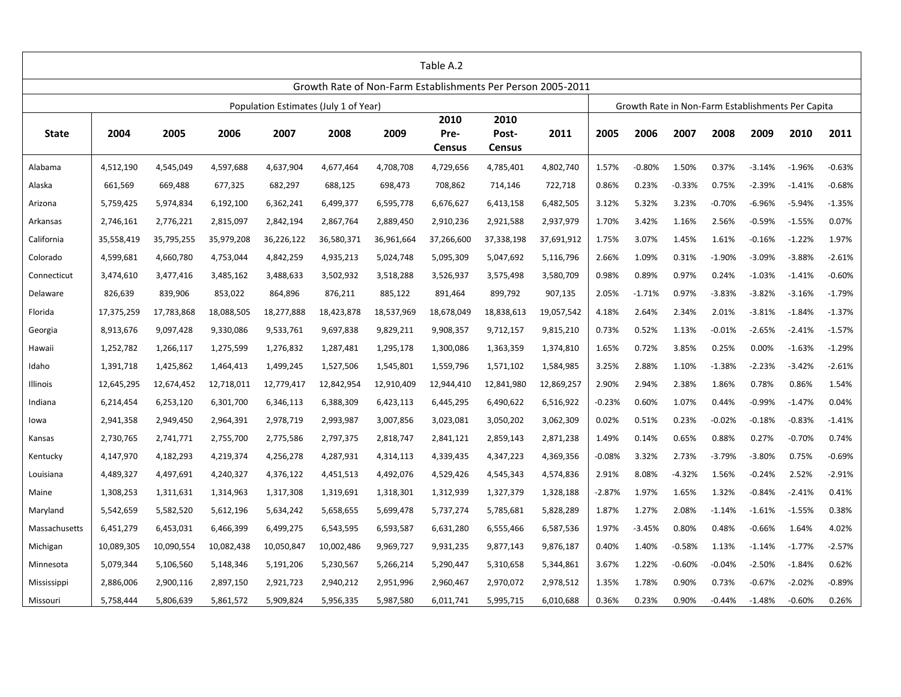|               | Table A.2  |            |            |            |                                                             |            |                               |                                |            |          |          |          |          |          |                                                   |          |
|---------------|------------|------------|------------|------------|-------------------------------------------------------------|------------|-------------------------------|--------------------------------|------------|----------|----------|----------|----------|----------|---------------------------------------------------|----------|
|               |            |            |            |            | Growth Rate of Non-Farm Establishments Per Person 2005-2011 |            |                               |                                |            |          |          |          |          |          |                                                   |          |
|               |            |            |            |            | Population Estimates (July 1 of Year)                       |            |                               |                                |            |          |          |          |          |          | Growth Rate in Non-Farm Establishments Per Capita |          |
| <b>State</b>  | 2004       | 2005       | 2006       | 2007       | 2008                                                        | 2009       | 2010<br>Pre-<br><b>Census</b> | 2010<br>Post-<br><b>Census</b> | 2011       | 2005     | 2006     | 2007     | 2008     | 2009     | 2010                                              | 2011     |
| Alabama       | 4,512,190  | 4,545,049  | 4,597,688  | 4,637,904  | 4,677,464                                                   | 4,708,708  | 4,729,656                     | 4,785,401                      | 4,802,740  | 1.57%    | $-0.80%$ | 1.50%    | 0.37%    | $-3.14%$ | $-1.96%$                                          | $-0.63%$ |
| Alaska        | 661,569    | 669,488    | 677,325    | 682,297    | 688,125                                                     | 698,473    | 708,862                       | 714,146                        | 722,718    | 0.86%    | 0.23%    | $-0.33%$ | 0.75%    | $-2.39%$ | $-1.41%$                                          | $-0.68%$ |
| Arizona       | 5,759,425  | 5,974,834  | 6,192,100  | 6,362,241  | 6,499,377                                                   | 6,595,778  | 6,676,627                     | 6,413,158                      | 6,482,505  | 3.12%    | 5.32%    | 3.23%    | $-0.70%$ | $-6.96%$ | $-5.94%$                                          | $-1.35%$ |
| Arkansas      | 2,746,161  | 2,776,221  | 2,815,097  | 2,842,194  | 2,867,764                                                   | 2,889,450  | 2,910,236                     | 2,921,588                      | 2,937,979  | 1.70%    | 3.42%    | 1.16%    | 2.56%    | $-0.59%$ | $-1.55%$                                          | 0.07%    |
| California    | 35,558,419 | 35,795,255 | 35,979,208 | 36,226,122 | 36,580,371                                                  | 36,961,664 | 37,266,600                    | 37,338,198                     | 37,691,912 | 1.75%    | 3.07%    | 1.45%    | 1.61%    | $-0.16%$ | $-1.22%$                                          | 1.97%    |
| Colorado      | 4,599,681  | 4,660,780  | 4,753,044  | 4,842,259  | 4,935,213                                                   | 5,024,748  | 5,095,309                     | 5,047,692                      | 5,116,796  | 2.66%    | 1.09%    | 0.31%    | $-1.90%$ | $-3.09%$ | $-3.88%$                                          | $-2.61%$ |
| Connecticut   | 3,474,610  | 3,477,416  | 3,485,162  | 3,488,633  | 3,502,932                                                   | 3,518,288  | 3,526,937                     | 3,575,498                      | 3,580,709  | 0.98%    | 0.89%    | 0.97%    | 0.24%    | $-1.03%$ | $-1.41%$                                          | $-0.60%$ |
| Delaware      | 826,639    | 839,906    | 853,022    | 864,896    | 876,211                                                     | 885,122    | 891,464                       | 899,792                        | 907,135    | 2.05%    | $-1.71%$ | 0.97%    | $-3.83%$ | $-3.82%$ | $-3.16%$                                          | $-1.79%$ |
| Florida       | 17,375,259 | 17,783,868 | 18,088,505 | 18,277,888 | 18,423,878                                                  | 18,537,969 | 18,678,049                    | 18,838,613                     | 19,057,542 | 4.18%    | 2.64%    | 2.34%    | 2.01%    | $-3.81%$ | $-1.84%$                                          | $-1.37%$ |
| Georgia       | 8,913,676  | 9,097,428  | 9,330,086  | 9,533,761  | 9,697,838                                                   | 9,829,211  | 9,908,357                     | 9,712,157                      | 9,815,210  | 0.73%    | 0.52%    | 1.13%    | $-0.01%$ | $-2.65%$ | $-2.41%$                                          | $-1.57%$ |
| Hawaii        | 1,252,782  | 1,266,117  | 1,275,599  | 1,276,832  | 1,287,481                                                   | 1,295,178  | 1,300,086                     | 1,363,359                      | 1,374,810  | 1.65%    | 0.72%    | 3.85%    | 0.25%    | 0.00%    | $-1.63%$                                          | $-1.29%$ |
| Idaho         | 1,391,718  | 1,425,862  | 1,464,413  | 1,499,245  | 1,527,506                                                   | 1,545,801  | 1,559,796                     | 1,571,102                      | 1,584,985  | 3.25%    | 2.88%    | 1.10%    | $-1.38%$ | $-2.23%$ | $-3.42%$                                          | $-2.61%$ |
| Illinois      | 12,645,295 | 12,674,452 | 12,718,011 | 12,779,417 | 12,842,954                                                  | 12,910,409 | 12,944,410                    | 12,841,980                     | 12,869,257 | 2.90%    | 2.94%    | 2.38%    | 1.86%    | 0.78%    | 0.86%                                             | 1.54%    |
| Indiana       | 6,214,454  | 6,253,120  | 6,301,700  | 6,346,113  | 6,388,309                                                   | 6,423,113  | 6,445,295                     | 6,490,622                      | 6,516,922  | $-0.23%$ | 0.60%    | 1.07%    | 0.44%    | $-0.99%$ | $-1.47%$                                          | 0.04%    |
| lowa          | 2,941,358  | 2,949,450  | 2,964,391  | 2,978,719  | 2,993,987                                                   | 3,007,856  | 3,023,081                     | 3,050,202                      | 3,062,309  | 0.02%    | 0.51%    | 0.23%    | $-0.02%$ | $-0.18%$ | $-0.83%$                                          | $-1.41%$ |
| Kansas        | 2,730,765  | 2,741,771  | 2,755,700  | 2,775,586  | 2,797,375                                                   | 2,818,747  | 2,841,121                     | 2,859,143                      | 2,871,238  | 1.49%    | 0.14%    | 0.65%    | 0.88%    | 0.27%    | $-0.70%$                                          | 0.74%    |
| Kentucky      | 4,147,970  | 4,182,293  | 4,219,374  | 4,256,278  | 4,287,931                                                   | 4,314,113  | 4,339,435                     | 4,347,223                      | 4,369,356  | $-0.08%$ | 3.32%    | 2.73%    | $-3.79%$ | $-3.80%$ | 0.75%                                             | $-0.69%$ |
| Louisiana     | 4,489,327  | 4,497,691  | 4,240,327  | 4,376,122  | 4,451,513                                                   | 4,492,076  | 4,529,426                     | 4,545,343                      | 4,574,836  | 2.91%    | 8.08%    | $-4.32%$ | 1.56%    | $-0.24%$ | 2.52%                                             | $-2.91%$ |
| Maine         | 1,308,253  | 1,311,631  | 1,314,963  | 1,317,308  | 1,319,691                                                   | 1,318,301  | 1,312,939                     | 1,327,379                      | 1,328,188  | $-2.87%$ | 1.97%    | 1.65%    | 1.32%    | $-0.84%$ | $-2.41%$                                          | 0.41%    |
| Maryland      | 5,542,659  | 5,582,520  | 5,612,196  | 5,634,242  | 5,658,655                                                   | 5,699,478  | 5,737,274                     | 5,785,681                      | 5,828,289  | 1.87%    | 1.27%    | 2.08%    | $-1.14%$ | $-1.61%$ | $-1.55%$                                          | 0.38%    |
| Massachusetts | 6,451,279  | 6,453,031  | 6,466,399  | 6,499,275  | 6,543,595                                                   | 6,593,587  | 6,631,280                     | 6,555,466                      | 6,587,536  | 1.97%    | $-3.45%$ | 0.80%    | 0.48%    | $-0.66%$ | 1.64%                                             | 4.02%    |
| Michigan      | 10,089,305 | 10,090,554 | 10,082,438 | 10,050,847 | 10,002,486                                                  | 9,969,727  | 9,931,235                     | 9,877,143                      | 9,876,187  | 0.40%    | 1.40%    | $-0.58%$ | 1.13%    | $-1.14%$ | $-1.77%$                                          | $-2.57%$ |
| Minnesota     | 5,079,344  | 5,106,560  | 5,148,346  | 5,191,206  | 5,230,567                                                   | 5,266,214  | 5,290,447                     | 5,310,658                      | 5,344,861  | 3.67%    | 1.22%    | $-0.60%$ | $-0.04%$ | $-2.50%$ | $-1.84%$                                          | 0.62%    |
| Mississippi   | 2,886,006  | 2,900,116  | 2,897,150  | 2,921,723  | 2,940,212                                                   | 2,951,996  | 2,960,467                     | 2,970,072                      | 2,978,512  | 1.35%    | 1.78%    | 0.90%    | 0.73%    | $-0.67%$ | $-2.02%$                                          | $-0.89%$ |
| Missouri      | 5,758,444  | 5,806,639  | 5,861,572  | 5,909,824  | 5,956,335                                                   | 5,987,580  | 6,011,741                     | 5,995,715                      | 6,010,688  | 0.36%    | 0.23%    | 0.90%    | $-0.44%$ | $-1.48%$ | $-0.60%$                                          | 0.26%    |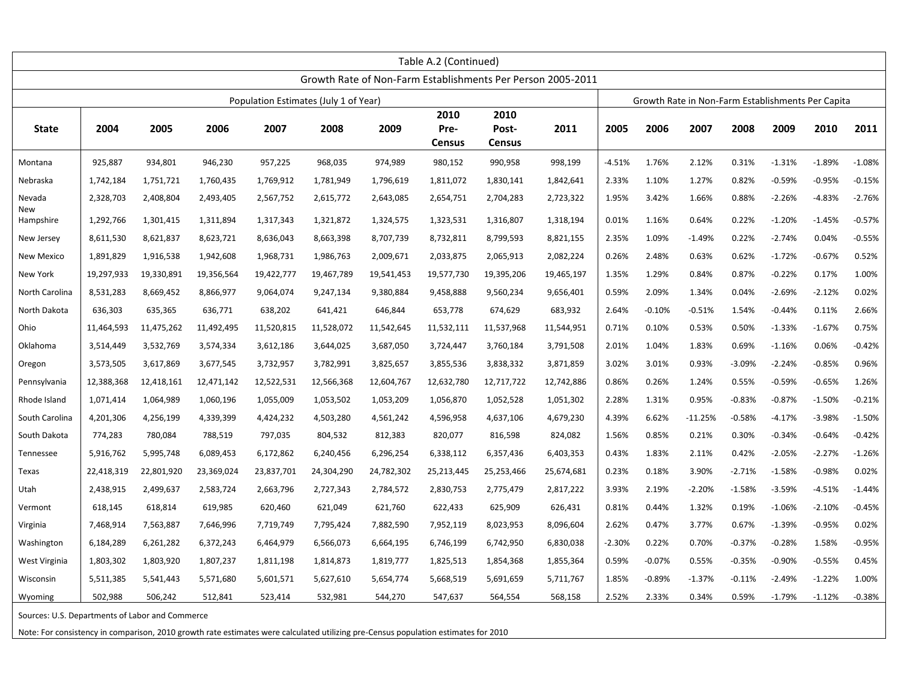|                                                 | Table A.2 (Continued) |            |            |            |                                       |            |                        |                                |                                                             |          |          |                                                   |          |          |          |          |
|-------------------------------------------------|-----------------------|------------|------------|------------|---------------------------------------|------------|------------------------|--------------------------------|-------------------------------------------------------------|----------|----------|---------------------------------------------------|----------|----------|----------|----------|
|                                                 |                       |            |            |            |                                       |            |                        |                                | Growth Rate of Non-Farm Establishments Per Person 2005-2011 |          |          |                                                   |          |          |          |          |
|                                                 |                       |            |            |            | Population Estimates (July 1 of Year) |            |                        |                                |                                                             |          |          | Growth Rate in Non-Farm Establishments Per Capita |          |          |          |          |
| <b>State</b>                                    | 2004                  | 2005       | 2006       | 2007       | 2008                                  | 2009       | 2010<br>Pre-<br>Census | 2010<br>Post-<br><b>Census</b> | 2011                                                        | 2005     | 2006     | 2007                                              | 2008     | 2009     | 2010     | 2011     |
| Montana                                         | 925,887               | 934,801    | 946,230    | 957,225    | 968,035                               | 974,989    | 980,152                | 990,958                        | 998,199                                                     | $-4.51%$ | 1.76%    | 2.12%                                             | 0.31%    | $-1.31%$ | $-1.89%$ | $-1.08%$ |
| Nebraska                                        | 1,742,184             | 1,751,721  | 1,760,435  | 1,769,912  | 1,781,949                             | 1,796,619  | 1,811,072              | 1,830,141                      | 1,842,641                                                   | 2.33%    | 1.10%    | 1.27%                                             | 0.82%    | $-0.59%$ | $-0.95%$ | $-0.15%$ |
| Nevada<br>New                                   | 2,328,703             | 2,408,804  | 2,493,405  | 2,567,752  | 2,615,772                             | 2,643,085  | 2,654,751              | 2,704,283                      | 2,723,322                                                   | 1.95%    | 3.42%    | 1.66%                                             | 0.88%    | $-2.26%$ | $-4.83%$ | $-2.76%$ |
| Hampshire                                       | 1,292,766             | 1,301,415  | 1,311,894  | 1,317,343  | 1,321,872                             | 1,324,575  | 1,323,531              | 1,316,807                      | 1,318,194                                                   | 0.01%    | 1.16%    | 0.64%                                             | 0.22%    | $-1.20%$ | $-1.45%$ | $-0.57%$ |
| New Jersey                                      | 8,611,530             | 8,621,837  | 8,623,721  | 8,636,043  | 8,663,398                             | 8,707,739  | 8,732,811              | 8,799,593                      | 8,821,155                                                   | 2.35%    | 1.09%    | $-1.49%$                                          | 0.22%    | $-2.74%$ | 0.04%    | $-0.55%$ |
| <b>New Mexico</b>                               | 1,891,829             | 1,916,538  | 1,942,608  | 1,968,731  | 1,986,763                             | 2,009,671  | 2,033,875              | 2,065,913                      | 2,082,224                                                   | 0.26%    | 2.48%    | 0.63%                                             | 0.62%    | $-1.72%$ | $-0.67%$ | 0.52%    |
| New York                                        | 19,297,933            | 19,330,891 | 19,356,564 | 19,422,777 | 19,467,789                            | 19,541,453 | 19,577,730             | 19,395,206                     | 19,465,197                                                  | 1.35%    | 1.29%    | 0.84%                                             | 0.87%    | $-0.22%$ | 0.17%    | 1.00%    |
| North Carolina                                  | 8,531,283             | 8,669,452  | 8,866,977  | 9,064,074  | 9,247,134                             | 9,380,884  | 9,458,888              | 9,560,234                      | 9,656,401                                                   | 0.59%    | 2.09%    | 1.34%                                             | 0.04%    | $-2.69%$ | $-2.12%$ | 0.02%    |
| North Dakota                                    | 636,303               | 635,365    | 636,771    | 638,202    | 641,421                               | 646,844    | 653,778                | 674,629                        | 683,932                                                     | 2.64%    | $-0.10%$ | $-0.51%$                                          | 1.54%    | $-0.44%$ | 0.11%    | 2.66%    |
| Ohio                                            | 11,464,593            | 11,475,262 | 11,492,495 | 11,520,815 | 11,528,072                            | 11,542,645 | 11,532,111             | 11,537,968                     | 11,544,951                                                  | 0.71%    | 0.10%    | 0.53%                                             | 0.50%    | $-1.33%$ | $-1.67%$ | 0.75%    |
| Oklahoma                                        | 3,514,449             | 3,532,769  | 3,574,334  | 3,612,186  | 3,644,025                             | 3,687,050  | 3,724,447              | 3,760,184                      | 3,791,508                                                   | 2.01%    | 1.04%    | 1.83%                                             | 0.69%    | $-1.16%$ | 0.06%    | $-0.42%$ |
| Oregon                                          | 3,573,505             | 3,617,869  | 3,677,545  | 3,732,957  | 3,782,991                             | 3,825,657  | 3,855,536              | 3,838,332                      | 3,871,859                                                   | 3.02%    | 3.01%    | 0.93%                                             | $-3.09%$ | $-2.24%$ | $-0.85%$ | 0.96%    |
| Pennsylvania                                    | 12,388,368            | 12,418,161 | 12,471,142 | 12,522,531 | 12,566,368                            | 12,604,767 | 12,632,780             | 12,717,722                     | 12,742,886                                                  | 0.86%    | 0.26%    | 1.24%                                             | 0.55%    | $-0.59%$ | $-0.65%$ | 1.26%    |
| Rhode Island                                    | 1,071,414             | 1,064,989  | 1,060,196  | 1,055,009  | 1,053,502                             | 1,053,209  | 1,056,870              | 1,052,528                      | 1,051,302                                                   | 2.28%    | 1.31%    | 0.95%                                             | $-0.83%$ | $-0.87%$ | $-1.50%$ | $-0.21%$ |
| South Carolina                                  | 4,201,306             | 4,256,199  | 4,339,399  | 4,424,232  | 4,503,280                             | 4,561,242  | 4,596,958              | 4,637,106                      | 4,679,230                                                   | 4.39%    | 6.62%    | $-11.25%$                                         | $-0.58%$ | $-4.17%$ | $-3.98%$ | $-1.50%$ |
| South Dakota                                    | 774,283               | 780,084    | 788,519    | 797,035    | 804,532                               | 812,383    | 820,077                | 816,598                        | 824,082                                                     | 1.56%    | 0.85%    | 0.21%                                             | 0.30%    | $-0.34%$ | $-0.64%$ | $-0.42%$ |
| Tennessee                                       | 5,916,762             | 5,995,748  | 6,089,453  | 6,172,862  | 6,240,456                             | 6,296,254  | 6,338,112              | 6,357,436                      | 6,403,353                                                   | 0.43%    | 1.83%    | 2.11%                                             | 0.42%    | $-2.05%$ | $-2.27%$ | $-1.26%$ |
| Texas                                           | 22,418,319            | 22,801,920 | 23,369,024 | 23,837,701 | 24,304,290                            | 24,782,302 | 25,213,445             | 25,253,466                     | 25,674,681                                                  | 0.23%    | 0.18%    | 3.90%                                             | $-2.71%$ | $-1.58%$ | $-0.98%$ | 0.02%    |
| Utah                                            | 2,438,915             | 2,499,637  | 2,583,724  | 2,663,796  | 2,727,343                             | 2,784,572  | 2,830,753              | 2,775,479                      | 2,817,222                                                   | 3.93%    | 2.19%    | $-2.20%$                                          | $-1.58%$ | $-3.59%$ | $-4.51%$ | $-1.44%$ |
| Vermont                                         | 618,145               | 618,814    | 619,985    | 620,460    | 621,049                               | 621,760    | 622,433                | 625,909                        | 626,431                                                     | 0.81%    | 0.44%    | 1.32%                                             | 0.19%    | $-1.06%$ | $-2.10%$ | $-0.45%$ |
| Virginia                                        | 7,468,914             | 7,563,887  | 7,646,996  | 7,719,749  | 7,795,424                             | 7,882,590  | 7,952,119              | 8,023,953                      | 8,096,604                                                   | 2.62%    | 0.47%    | 3.77%                                             | 0.67%    | $-1.39%$ | $-0.95%$ | 0.02%    |
| Washington                                      | 6,184,289             | 6,261,282  | 6,372,243  | 6,464,979  | 6,566,073                             | 6,664,195  | 6,746,199              | 6,742,950                      | 6,830,038                                                   | $-2.30%$ | 0.22%    | 0.70%                                             | $-0.37%$ | $-0.28%$ | 1.58%    | $-0.95%$ |
| West Virginia                                   | 1,803,302             | 1,803,920  | 1,807,237  | 1,811,198  | 1,814,873                             | 1,819,777  | 1,825,513              | 1,854,368                      | 1,855,364                                                   | 0.59%    | $-0.07%$ | 0.55%                                             | $-0.35%$ | $-0.90%$ | $-0.55%$ | 0.45%    |
| Wisconsin                                       | 5,511,385             | 5,541,443  | 5,571,680  | 5,601,571  | 5,627,610                             | 5,654,774  | 5,668,519              | 5,691,659                      | 5,711,767                                                   | 1.85%    | $-0.89%$ | $-1.37%$                                          | $-0.11%$ | $-2.49%$ | $-1.22%$ | 1.00%    |
| Wyoming                                         | 502,988               | 506,242    | 512,841    | 523,414    | 532,981                               | 544,270    | 547,637                | 564,554                        | 568,158                                                     | 2.52%    | 2.33%    | 0.34%                                             | 0.59%    | $-1.79%$ | $-1.12%$ | $-0.38%$ |
| Sources: U.S. Departments of Labor and Commerce |                       |            |            |            |                                       |            |                        |                                |                                                             |          |          |                                                   |          |          |          |          |

Note: For consistency in comparison, 2010 growth rate estimates were calculated utilizing pre-Census population estimates for 2010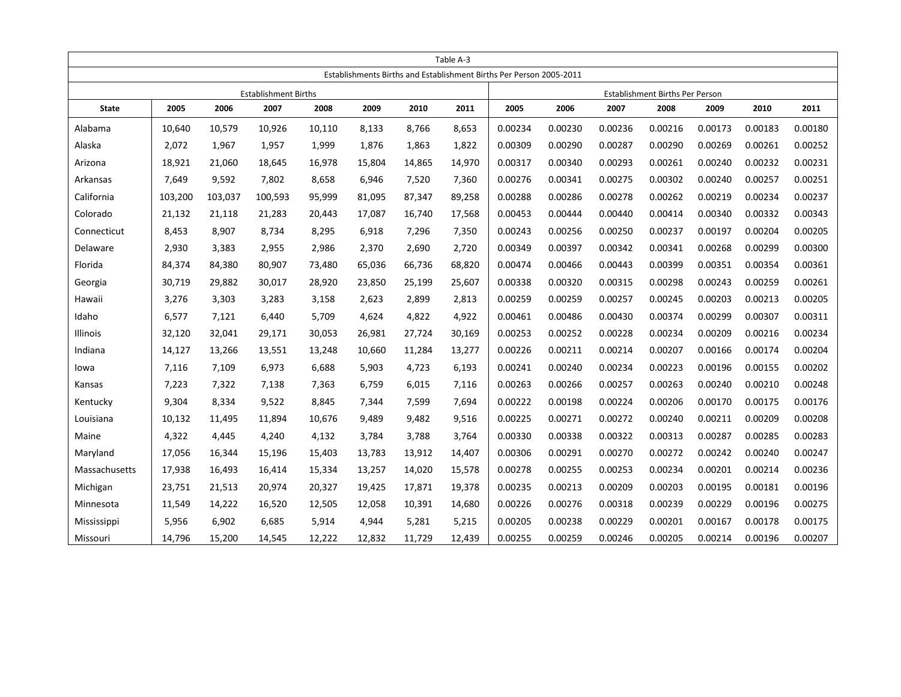|               | Table A-3 |         |                             |        |        |        |        |                                                                     |         |         |                                 |         |         |         |
|---------------|-----------|---------|-----------------------------|--------|--------|--------|--------|---------------------------------------------------------------------|---------|---------|---------------------------------|---------|---------|---------|
|               |           |         |                             |        |        |        |        | Establishments Births and Establishment Births Per Person 2005-2011 |         |         |                                 |         |         |         |
|               |           |         | <b>Establishment Births</b> |        |        |        |        |                                                                     |         |         | Establishment Births Per Person |         |         |         |
| <b>State</b>  | 2005      | 2006    | 2007                        | 2008   | 2009   | 2010   | 2011   | 2005                                                                | 2006    | 2007    | 2008                            | 2009    | 2010    | 2011    |
| Alabama       | 10,640    | 10,579  | 10,926                      | 10,110 | 8,133  | 8,766  | 8,653  | 0.00234                                                             | 0.00230 | 0.00236 | 0.00216                         | 0.00173 | 0.00183 | 0.00180 |
| Alaska        | 2,072     | 1,967   | 1,957                       | 1,999  | 1,876  | 1,863  | 1,822  | 0.00309                                                             | 0.00290 | 0.00287 | 0.00290                         | 0.00269 | 0.00261 | 0.00252 |
| Arizona       | 18,921    | 21,060  | 18,645                      | 16,978 | 15,804 | 14,865 | 14,970 | 0.00317                                                             | 0.00340 | 0.00293 | 0.00261                         | 0.00240 | 0.00232 | 0.00231 |
| Arkansas      | 7,649     | 9,592   | 7,802                       | 8,658  | 6,946  | 7,520  | 7,360  | 0.00276                                                             | 0.00341 | 0.00275 | 0.00302                         | 0.00240 | 0.00257 | 0.00251 |
| California    | 103,200   | 103,037 | 100,593                     | 95,999 | 81,095 | 87,347 | 89,258 | 0.00288                                                             | 0.00286 | 0.00278 | 0.00262                         | 0.00219 | 0.00234 | 0.00237 |
| Colorado      | 21,132    | 21,118  | 21,283                      | 20,443 | 17,087 | 16,740 | 17,568 | 0.00453                                                             | 0.00444 | 0.00440 | 0.00414                         | 0.00340 | 0.00332 | 0.00343 |
| Connecticut   | 8,453     | 8,907   | 8,734                       | 8,295  | 6,918  | 7,296  | 7,350  | 0.00243                                                             | 0.00256 | 0.00250 | 0.00237                         | 0.00197 | 0.00204 | 0.00205 |
| Delaware      | 2,930     | 3,383   | 2,955                       | 2,986  | 2,370  | 2,690  | 2,720  | 0.00349                                                             | 0.00397 | 0.00342 | 0.00341                         | 0.00268 | 0.00299 | 0.00300 |
| Florida       | 84,374    | 84,380  | 80,907                      | 73,480 | 65,036 | 66,736 | 68,820 | 0.00474                                                             | 0.00466 | 0.00443 | 0.00399                         | 0.00351 | 0.00354 | 0.00361 |
| Georgia       | 30,719    | 29,882  | 30,017                      | 28,920 | 23,850 | 25,199 | 25,607 | 0.00338                                                             | 0.00320 | 0.00315 | 0.00298                         | 0.00243 | 0.00259 | 0.00261 |
| Hawaii        | 3,276     | 3,303   | 3,283                       | 3,158  | 2,623  | 2,899  | 2,813  | 0.00259                                                             | 0.00259 | 0.00257 | 0.00245                         | 0.00203 | 0.00213 | 0.00205 |
| Idaho         | 6,577     | 7,121   | 6,440                       | 5,709  | 4,624  | 4,822  | 4,922  | 0.00461                                                             | 0.00486 | 0.00430 | 0.00374                         | 0.00299 | 0.00307 | 0.00311 |
| Illinois      | 32,120    | 32,041  | 29,171                      | 30,053 | 26,981 | 27,724 | 30,169 | 0.00253                                                             | 0.00252 | 0.00228 | 0.00234                         | 0.00209 | 0.00216 | 0.00234 |
| Indiana       | 14,127    | 13,266  | 13,551                      | 13,248 | 10,660 | 11,284 | 13,277 | 0.00226                                                             | 0.00211 | 0.00214 | 0.00207                         | 0.00166 | 0.00174 | 0.00204 |
| lowa          | 7,116     | 7,109   | 6,973                       | 6,688  | 5,903  | 4,723  | 6,193  | 0.00241                                                             | 0.00240 | 0.00234 | 0.00223                         | 0.00196 | 0.00155 | 0.00202 |
| Kansas        | 7,223     | 7,322   | 7,138                       | 7,363  | 6,759  | 6,015  | 7,116  | 0.00263                                                             | 0.00266 | 0.00257 | 0.00263                         | 0.00240 | 0.00210 | 0.00248 |
| Kentucky      | 9,304     | 8,334   | 9,522                       | 8,845  | 7,344  | 7,599  | 7,694  | 0.00222                                                             | 0.00198 | 0.00224 | 0.00206                         | 0.00170 | 0.00175 | 0.00176 |
| Louisiana     | 10,132    | 11,495  | 11,894                      | 10,676 | 9,489  | 9,482  | 9,516  | 0.00225                                                             | 0.00271 | 0.00272 | 0.00240                         | 0.00211 | 0.00209 | 0.00208 |
| Maine         | 4,322     | 4,445   | 4,240                       | 4,132  | 3,784  | 3,788  | 3,764  | 0.00330                                                             | 0.00338 | 0.00322 | 0.00313                         | 0.00287 | 0.00285 | 0.00283 |
| Maryland      | 17,056    | 16,344  | 15,196                      | 15,403 | 13,783 | 13,912 | 14,407 | 0.00306                                                             | 0.00291 | 0.00270 | 0.00272                         | 0.00242 | 0.00240 | 0.00247 |
| Massachusetts | 17,938    | 16,493  | 16,414                      | 15,334 | 13,257 | 14,020 | 15,578 | 0.00278                                                             | 0.00255 | 0.00253 | 0.00234                         | 0.00201 | 0.00214 | 0.00236 |
| Michigan      | 23,751    | 21,513  | 20,974                      | 20,327 | 19,425 | 17,871 | 19,378 | 0.00235                                                             | 0.00213 | 0.00209 | 0.00203                         | 0.00195 | 0.00181 | 0.00196 |
| Minnesota     | 11,549    | 14,222  | 16,520                      | 12,505 | 12,058 | 10,391 | 14,680 | 0.00226                                                             | 0.00276 | 0.00318 | 0.00239                         | 0.00229 | 0.00196 | 0.00275 |
| Mississippi   | 5,956     | 6,902   | 6,685                       | 5,914  | 4,944  | 5,281  | 5,215  | 0.00205                                                             | 0.00238 | 0.00229 | 0.00201                         | 0.00167 | 0.00178 | 0.00175 |
| Missouri      | 14,796    | 15,200  | 14,545                      | 12,222 | 12,832 | 11,729 | 12,439 | 0.00255                                                             | 0.00259 | 0.00246 | 0.00205                         | 0.00214 | 0.00196 | 0.00207 |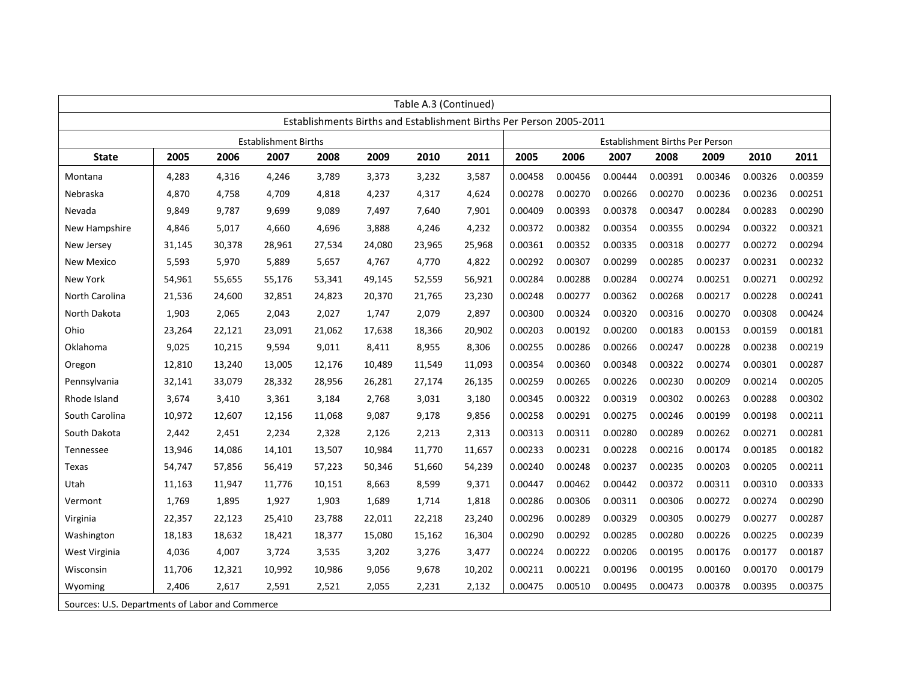| Table A.3 (Continued)                           |                                                                     |        |                             |        |        |        |        |         |         |         |                                 |         |         |         |
|-------------------------------------------------|---------------------------------------------------------------------|--------|-----------------------------|--------|--------|--------|--------|---------|---------|---------|---------------------------------|---------|---------|---------|
|                                                 | Establishments Births and Establishment Births Per Person 2005-2011 |        |                             |        |        |        |        |         |         |         |                                 |         |         |         |
|                                                 |                                                                     |        | <b>Establishment Births</b> |        |        |        |        |         |         |         | Establishment Births Per Person |         |         |         |
| <b>State</b>                                    | 2005                                                                | 2006   | 2007                        | 2008   | 2009   | 2010   | 2011   | 2005    | 2006    | 2007    | 2008                            | 2009    | 2010    | 2011    |
| Montana                                         | 4,283                                                               | 4,316  | 4,246                       | 3.789  | 3,373  | 3,232  | 3,587  | 0.00458 | 0.00456 | 0.00444 | 0.00391                         | 0.00346 | 0.00326 | 0.00359 |
| Nebraska                                        | 4,870                                                               | 4,758  | 4,709                       | 4,818  | 4,237  | 4,317  | 4,624  | 0.00278 | 0.00270 | 0.00266 | 0.00270                         | 0.00236 | 0.00236 | 0.00251 |
| Nevada                                          | 9,849                                                               | 9,787  | 9,699                       | 9,089  | 7,497  | 7,640  | 7,901  | 0.00409 | 0.00393 | 0.00378 | 0.00347                         | 0.00284 | 0.00283 | 0.00290 |
| New Hampshire                                   | 4,846                                                               | 5,017  | 4,660                       | 4,696  | 3,888  | 4,246  | 4,232  | 0.00372 | 0.00382 | 0.00354 | 0.00355                         | 0.00294 | 0.00322 | 0.00321 |
| New Jersey                                      | 31,145                                                              | 30,378 | 28,961                      | 27,534 | 24,080 | 23,965 | 25,968 | 0.00361 | 0.00352 | 0.00335 | 0.00318                         | 0.00277 | 0.00272 | 0.00294 |
| New Mexico                                      | 5,593                                                               | 5,970  | 5,889                       | 5,657  | 4,767  | 4,770  | 4,822  | 0.00292 | 0.00307 | 0.00299 | 0.00285                         | 0.00237 | 0.00231 | 0.00232 |
| New York                                        | 54,961                                                              | 55,655 | 55,176                      | 53,341 | 49,145 | 52,559 | 56,921 | 0.00284 | 0.00288 | 0.00284 | 0.00274                         | 0.00251 | 0.00271 | 0.00292 |
| North Carolina                                  | 21,536                                                              | 24,600 | 32,851                      | 24,823 | 20,370 | 21,765 | 23,230 | 0.00248 | 0.00277 | 0.00362 | 0.00268                         | 0.00217 | 0.00228 | 0.00241 |
| North Dakota                                    | 1,903                                                               | 2,065  | 2,043                       | 2,027  | 1,747  | 2,079  | 2,897  | 0.00300 | 0.00324 | 0.00320 | 0.00316                         | 0.00270 | 0.00308 | 0.00424 |
| Ohio                                            | 23,264                                                              | 22,121 | 23,091                      | 21,062 | 17,638 | 18,366 | 20,902 | 0.00203 | 0.00192 | 0.00200 | 0.00183                         | 0.00153 | 0.00159 | 0.00181 |
| Oklahoma                                        | 9,025                                                               | 10,215 | 9,594                       | 9,011  | 8,411  | 8,955  | 8,306  | 0.00255 | 0.00286 | 0.00266 | 0.00247                         | 0.00228 | 0.00238 | 0.00219 |
| Oregon                                          | 12.810                                                              | 13,240 | 13,005                      | 12,176 | 10,489 | 11,549 | 11,093 | 0.00354 | 0.00360 | 0.00348 | 0.00322                         | 0.00274 | 0.00301 | 0.00287 |
| Pennsylvania                                    | 32,141                                                              | 33,079 | 28,332                      | 28,956 | 26,281 | 27,174 | 26,135 | 0.00259 | 0.00265 | 0.00226 | 0.00230                         | 0.00209 | 0.00214 | 0.00205 |
| Rhode Island                                    | 3,674                                                               | 3,410  | 3,361                       | 3,184  | 2,768  | 3,031  | 3,180  | 0.00345 | 0.00322 | 0.00319 | 0.00302                         | 0.00263 | 0.00288 | 0.00302 |
| South Carolina                                  | 10,972                                                              | 12,607 | 12,156                      | 11,068 | 9,087  | 9,178  | 9,856  | 0.00258 | 0.00291 | 0.00275 | 0.00246                         | 0.00199 | 0.00198 | 0.00211 |
| South Dakota                                    | 2,442                                                               | 2,451  | 2,234                       | 2,328  | 2,126  | 2,213  | 2,313  | 0.00313 | 0.00311 | 0.00280 | 0.00289                         | 0.00262 | 0.00271 | 0.00281 |
| Tennessee                                       | 13,946                                                              | 14,086 | 14,101                      | 13,507 | 10,984 | 11,770 | 11,657 | 0.00233 | 0.00231 | 0.00228 | 0.00216                         | 0.00174 | 0.00185 | 0.00182 |
| Texas                                           | 54,747                                                              | 57,856 | 56,419                      | 57,223 | 50,346 | 51,660 | 54,239 | 0.00240 | 0.00248 | 0.00237 | 0.00235                         | 0.00203 | 0.00205 | 0.00211 |
| Utah                                            | 11,163                                                              | 11,947 | 11,776                      | 10,151 | 8,663  | 8,599  | 9,371  | 0.00447 | 0.00462 | 0.00442 | 0.00372                         | 0.00311 | 0.00310 | 0.00333 |
| Vermont                                         | 1,769                                                               | 1,895  | 1,927                       | 1,903  | 1,689  | 1,714  | 1,818  | 0.00286 | 0.00306 | 0.00311 | 0.00306                         | 0.00272 | 0.00274 | 0.00290 |
| Virginia                                        | 22,357                                                              | 22,123 | 25,410                      | 23,788 | 22,011 | 22,218 | 23,240 | 0.00296 | 0.00289 | 0.00329 | 0.00305                         | 0.00279 | 0.00277 | 0.00287 |
| Washington                                      | 18,183                                                              | 18,632 | 18,421                      | 18,377 | 15,080 | 15,162 | 16,304 | 0.00290 | 0.00292 | 0.00285 | 0.00280                         | 0.00226 | 0.00225 | 0.00239 |
| West Virginia                                   | 4,036                                                               | 4,007  | 3,724                       | 3,535  | 3,202  | 3,276  | 3,477  | 0.00224 | 0.00222 | 0.00206 | 0.00195                         | 0.00176 | 0.00177 | 0.00187 |
| Wisconsin                                       | 11,706                                                              | 12,321 | 10,992                      | 10,986 | 9,056  | 9,678  | 10,202 | 0.00211 | 0.00221 | 0.00196 | 0.00195                         | 0.00160 | 0.00170 | 0.00179 |
| Wyoming                                         | 2,406                                                               | 2,617  | 2,591                       | 2,521  | 2,055  | 2,231  | 2,132  | 0.00475 | 0.00510 | 0.00495 | 0.00473                         | 0.00378 | 0.00395 | 0.00375 |
| Sources: U.S. Departments of Labor and Commerce |                                                                     |        |                             |        |        |        |        |         |         |         |                                 |         |         |         |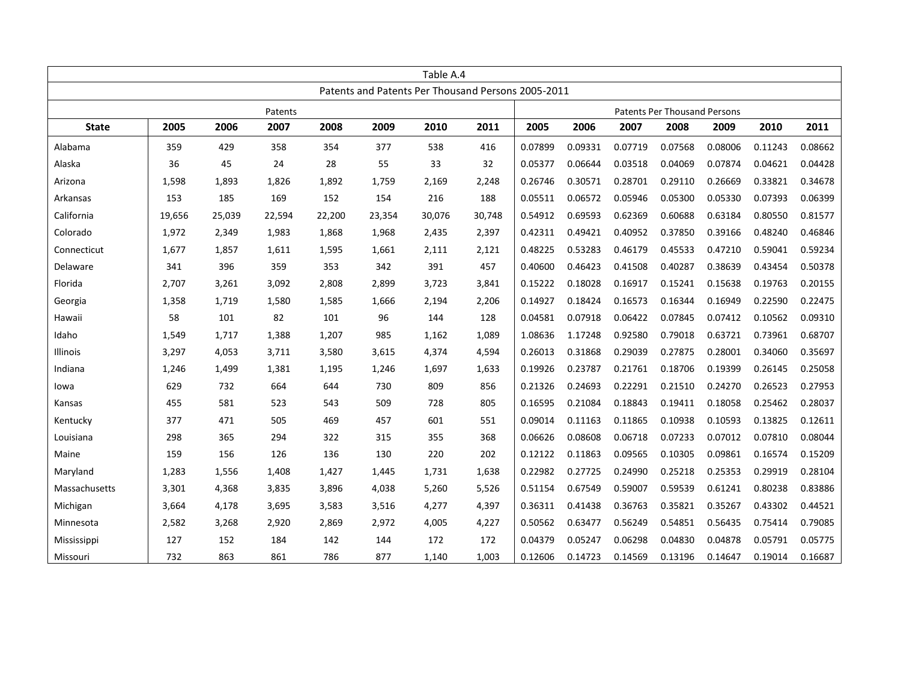|               | Table A.4 |        |        |        |        |                                                    |                                     |         |         |         |         |         |         |         |
|---------------|-----------|--------|--------|--------|--------|----------------------------------------------------|-------------------------------------|---------|---------|---------|---------|---------|---------|---------|
|               |           |        |        |        |        | Patents and Patents Per Thousand Persons 2005-2011 |                                     |         |         |         |         |         |         |         |
| Patents       |           |        |        |        |        |                                                    | <b>Patents Per Thousand Persons</b> |         |         |         |         |         |         |         |
| <b>State</b>  | 2005      | 2006   | 2007   | 2008   | 2009   | 2010                                               | 2011                                | 2005    | 2006    | 2007    | 2008    | 2009    | 2010    | 2011    |
| Alabama       | 359       | 429    | 358    | 354    | 377    | 538                                                | 416                                 | 0.07899 | 0.09331 | 0.07719 | 0.07568 | 0.08006 | 0.11243 | 0.08662 |
| Alaska        | 36        | 45     | 24     | 28     | 55     | 33                                                 | 32                                  | 0.05377 | 0.06644 | 0.03518 | 0.04069 | 0.07874 | 0.04621 | 0.04428 |
| Arizona       | 1,598     | 1,893  | 1,826  | 1,892  | 1,759  | 2,169                                              | 2,248                               | 0.26746 | 0.30571 | 0.28701 | 0.29110 | 0.26669 | 0.33821 | 0.34678 |
| Arkansas      | 153       | 185    | 169    | 152    | 154    | 216                                                | 188                                 | 0.05511 | 0.06572 | 0.05946 | 0.05300 | 0.05330 | 0.07393 | 0.06399 |
| California    | 19,656    | 25,039 | 22,594 | 22,200 | 23,354 | 30,076                                             | 30,748                              | 0.54912 | 0.69593 | 0.62369 | 0.60688 | 0.63184 | 0.80550 | 0.81577 |
| Colorado      | 1,972     | 2,349  | 1,983  | 1,868  | 1,968  | 2,435                                              | 2,397                               | 0.42311 | 0.49421 | 0.40952 | 0.37850 | 0.39166 | 0.48240 | 0.46846 |
| Connecticut   | 1,677     | 1,857  | 1,611  | 1,595  | 1,661  | 2,111                                              | 2,121                               | 0.48225 | 0.53283 | 0.46179 | 0.45533 | 0.47210 | 0.59041 | 0.59234 |
| Delaware      | 341       | 396    | 359    | 353    | 342    | 391                                                | 457                                 | 0.40600 | 0.46423 | 0.41508 | 0.40287 | 0.38639 | 0.43454 | 0.50378 |
| Florida       | 2,707     | 3,261  | 3,092  | 2,808  | 2,899  | 3,723                                              | 3,841                               | 0.15222 | 0.18028 | 0.16917 | 0.15241 | 0.15638 | 0.19763 | 0.20155 |
| Georgia       | 1,358     | 1,719  | 1,580  | 1,585  | 1,666  | 2,194                                              | 2,206                               | 0.14927 | 0.18424 | 0.16573 | 0.16344 | 0.16949 | 0.22590 | 0.22475 |
| Hawaii        | 58        | 101    | 82     | 101    | 96     | 144                                                | 128                                 | 0.04581 | 0.07918 | 0.06422 | 0.07845 | 0.07412 | 0.10562 | 0.09310 |
| Idaho         | 1,549     | 1,717  | 1,388  | 1,207  | 985    | 1,162                                              | 1,089                               | 1.08636 | 1.17248 | 0.92580 | 0.79018 | 0.63721 | 0.73961 | 0.68707 |
| Illinois      | 3,297     | 4,053  | 3,711  | 3,580  | 3,615  | 4,374                                              | 4,594                               | 0.26013 | 0.31868 | 0.29039 | 0.27875 | 0.28001 | 0.34060 | 0.35697 |
| Indiana       | 1,246     | 1,499  | 1,381  | 1,195  | 1,246  | 1,697                                              | 1,633                               | 0.19926 | 0.23787 | 0.21761 | 0.18706 | 0.19399 | 0.26145 | 0.25058 |
| lowa          | 629       | 732    | 664    | 644    | 730    | 809                                                | 856                                 | 0.21326 | 0.24693 | 0.22291 | 0.21510 | 0.24270 | 0.26523 | 0.27953 |
| Kansas        | 455       | 581    | 523    | 543    | 509    | 728                                                | 805                                 | 0.16595 | 0.21084 | 0.18843 | 0.19411 | 0.18058 | 0.25462 | 0.28037 |
| Kentucky      | 377       | 471    | 505    | 469    | 457    | 601                                                | 551                                 | 0.09014 | 0.11163 | 0.11865 | 0.10938 | 0.10593 | 0.13825 | 0.12611 |
| Louisiana     | 298       | 365    | 294    | 322    | 315    | 355                                                | 368                                 | 0.06626 | 0.08608 | 0.06718 | 0.07233 | 0.07012 | 0.07810 | 0.08044 |
| Maine         | 159       | 156    | 126    | 136    | 130    | 220                                                | 202                                 | 0.12122 | 0.11863 | 0.09565 | 0.10305 | 0.09861 | 0.16574 | 0.15209 |
| Maryland      | 1,283     | 1,556  | 1,408  | 1,427  | 1,445  | 1,731                                              | 1,638                               | 0.22982 | 0.27725 | 0.24990 | 0.25218 | 0.25353 | 0.29919 | 0.28104 |
| Massachusetts | 3,301     | 4,368  | 3,835  | 3,896  | 4,038  | 5,260                                              | 5,526                               | 0.51154 | 0.67549 | 0.59007 | 0.59539 | 0.61241 | 0.80238 | 0.83886 |
| Michigan      | 3,664     | 4,178  | 3,695  | 3,583  | 3,516  | 4,277                                              | 4,397                               | 0.36311 | 0.41438 | 0.36763 | 0.35821 | 0.35267 | 0.43302 | 0.44521 |
| Minnesota     | 2,582     | 3,268  | 2,920  | 2,869  | 2,972  | 4,005                                              | 4,227                               | 0.50562 | 0.63477 | 0.56249 | 0.54851 | 0.56435 | 0.75414 | 0.79085 |
| Mississippi   | 127       | 152    | 184    | 142    | 144    | 172                                                | 172                                 | 0.04379 | 0.05247 | 0.06298 | 0.04830 | 0.04878 | 0.05791 | 0.05775 |
| Missouri      | 732       | 863    | 861    | 786    | 877    | 1,140                                              | 1,003                               | 0.12606 | 0.14723 | 0.14569 | 0.13196 | 0.14647 | 0.19014 | 0.16687 |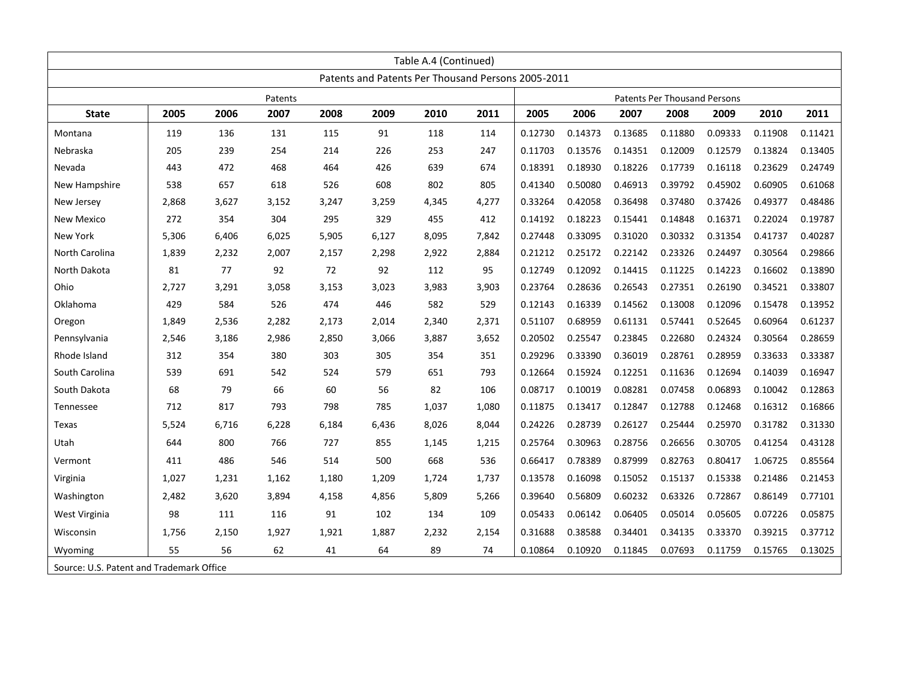| Table A.4 (Continued)                    |                                                    |       |       |       |       |       |       |         |                              |         |         |         |         |         |
|------------------------------------------|----------------------------------------------------|-------|-------|-------|-------|-------|-------|---------|------------------------------|---------|---------|---------|---------|---------|
|                                          | Patents and Patents Per Thousand Persons 2005-2011 |       |       |       |       |       |       |         |                              |         |         |         |         |         |
|                                          | Patents                                            |       |       |       |       |       |       |         | Patents Per Thousand Persons |         |         |         |         |         |
| <b>State</b>                             | 2005                                               | 2006  | 2007  | 2008  | 2009  | 2010  | 2011  | 2005    | 2006                         | 2007    | 2008    | 2009    | 2010    | 2011    |
| Montana                                  | 119                                                | 136   | 131   | 115   | 91    | 118   | 114   | 0.12730 | 0.14373                      | 0.13685 | 0.11880 | 0.09333 | 0.11908 | 0.11421 |
| Nebraska                                 | 205                                                | 239   | 254   | 214   | 226   | 253   | 247   | 0.11703 | 0.13576                      | 0.14351 | 0.12009 | 0.12579 | 0.13824 | 0.13405 |
| Nevada                                   | 443                                                | 472   | 468   | 464   | 426   | 639   | 674   | 0.18391 | 0.18930                      | 0.18226 | 0.17739 | 0.16118 | 0.23629 | 0.24749 |
| New Hampshire                            | 538                                                | 657   | 618   | 526   | 608   | 802   | 805   | 0.41340 | 0.50080                      | 0.46913 | 0.39792 | 0.45902 | 0.60905 | 0.61068 |
| New Jersey                               | 2,868                                              | 3,627 | 3,152 | 3,247 | 3,259 | 4,345 | 4,277 | 0.33264 | 0.42058                      | 0.36498 | 0.37480 | 0.37426 | 0.49377 | 0.48486 |
| New Mexico                               | 272                                                | 354   | 304   | 295   | 329   | 455   | 412   | 0.14192 | 0.18223                      | 0.15441 | 0.14848 | 0.16371 | 0.22024 | 0.19787 |
| <b>New York</b>                          | 5,306                                              | 6,406 | 6,025 | 5,905 | 6,127 | 8,095 | 7,842 | 0.27448 | 0.33095                      | 0.31020 | 0.30332 | 0.31354 | 0.41737 | 0.40287 |
| North Carolina                           | 1,839                                              | 2,232 | 2,007 | 2,157 | 2,298 | 2,922 | 2,884 | 0.21212 | 0.25172                      | 0.22142 | 0.23326 | 0.24497 | 0.30564 | 0.29866 |
| North Dakota                             | 81                                                 | 77    | 92    | 72    | 92    | 112   | 95    | 0.12749 | 0.12092                      | 0.14415 | 0.11225 | 0.14223 | 0.16602 | 0.13890 |
| Ohio                                     | 2,727                                              | 3,291 | 3,058 | 3,153 | 3,023 | 3,983 | 3,903 | 0.23764 | 0.28636                      | 0.26543 | 0.27351 | 0.26190 | 0.34521 | 0.33807 |
| Oklahoma                                 | 429                                                | 584   | 526   | 474   | 446   | 582   | 529   | 0.12143 | 0.16339                      | 0.14562 | 0.13008 | 0.12096 | 0.15478 | 0.13952 |
| Oregon                                   | 1,849                                              | 2,536 | 2.282 | 2,173 | 2,014 | 2,340 | 2,371 | 0.51107 | 0.68959                      | 0.61131 | 0.57441 | 0.52645 | 0.60964 | 0.61237 |
| Pennsylvania                             | 2,546                                              | 3,186 | 2,986 | 2,850 | 3,066 | 3,887 | 3,652 | 0.20502 | 0.25547                      | 0.23845 | 0.22680 | 0.24324 | 0.30564 | 0.28659 |
| Rhode Island                             | 312                                                | 354   | 380   | 303   | 305   | 354   | 351   | 0.29296 | 0.33390                      | 0.36019 | 0.28761 | 0.28959 | 0.33633 | 0.33387 |
| South Carolina                           | 539                                                | 691   | 542   | 524   | 579   | 651   | 793   | 0.12664 | 0.15924                      | 0.12251 | 0.11636 | 0.12694 | 0.14039 | 0.16947 |
| South Dakota                             | 68                                                 | 79    | 66    | 60    | 56    | 82    | 106   | 0.08717 | 0.10019                      | 0.08281 | 0.07458 | 0.06893 | 0.10042 | 0.12863 |
| <b>Tennessee</b>                         | 712                                                | 817   | 793   | 798   | 785   | 1,037 | 1,080 | 0.11875 | 0.13417                      | 0.12847 | 0.12788 | 0.12468 | 0.16312 | 0.16866 |
| Texas                                    | 5,524                                              | 6,716 | 6,228 | 6,184 | 6,436 | 8,026 | 8,044 | 0.24226 | 0.28739                      | 0.26127 | 0.25444 | 0.25970 | 0.31782 | 0.31330 |
| Utah                                     | 644                                                | 800   | 766   | 727   | 855   | 1,145 | 1,215 | 0.25764 | 0.30963                      | 0.28756 | 0.26656 | 0.30705 | 0.41254 | 0.43128 |
| Vermont                                  | 411                                                | 486   | 546   | 514   | 500   | 668   | 536   | 0.66417 | 0.78389                      | 0.87999 | 0.82763 | 0.80417 | 1.06725 | 0.85564 |
| Virginia                                 | 1,027                                              | 1,231 | 1,162 | 1,180 | 1,209 | 1,724 | 1,737 | 0.13578 | 0.16098                      | 0.15052 | 0.15137 | 0.15338 | 0.21486 | 0.21453 |
| Washington                               | 2,482                                              | 3,620 | 3.894 | 4,158 | 4,856 | 5,809 | 5,266 | 0.39640 | 0.56809                      | 0.60232 | 0.63326 | 0.72867 | 0.86149 | 0.77101 |
| West Virginia                            | 98                                                 | 111   | 116   | 91    | 102   | 134   | 109   | 0.05433 | 0.06142                      | 0.06405 | 0.05014 | 0.05605 | 0.07226 | 0.05875 |
| Wisconsin                                | 1,756                                              | 2,150 | 1,927 | 1,921 | 1,887 | 2,232 | 2,154 | 0.31688 | 0.38588                      | 0.34401 | 0.34135 | 0.33370 | 0.39215 | 0.37712 |
| Wyoming                                  | 55                                                 | 56    | 62    | 41    | 64    | 89    | 74    | 0.10864 | 0.10920                      | 0.11845 | 0.07693 | 0.11759 | 0.15765 | 0.13025 |
| Source: U.S. Patent and Trademark Office |                                                    |       |       |       |       |       |       |         |                              |         |         |         |         |         |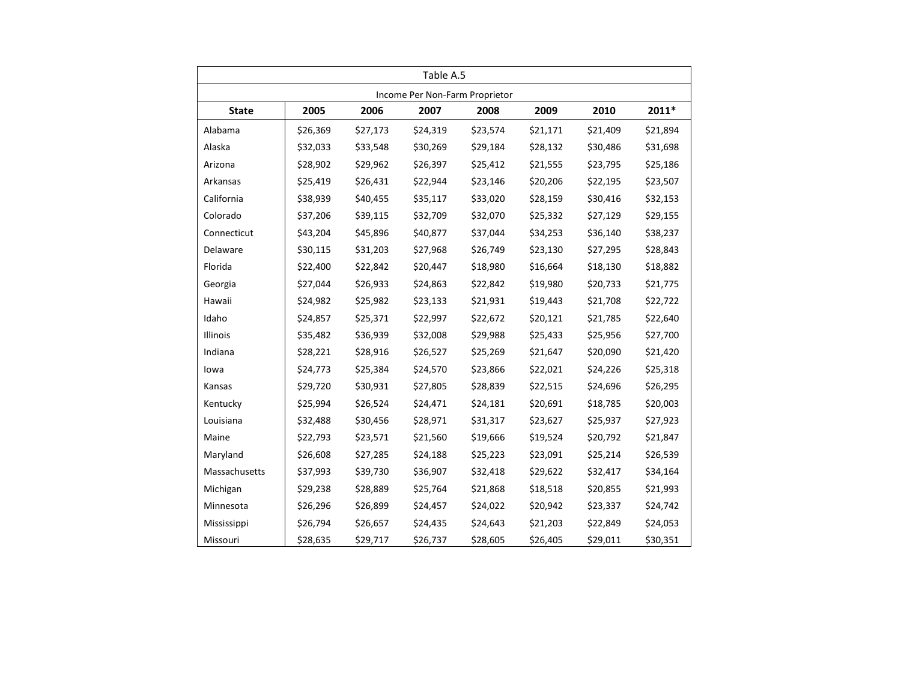| Table A.5                      |          |          |          |          |          |          |          |  |  |  |  |  |
|--------------------------------|----------|----------|----------|----------|----------|----------|----------|--|--|--|--|--|
| Income Per Non-Farm Proprietor |          |          |          |          |          |          |          |  |  |  |  |  |
| <b>State</b>                   | 2005     | 2006     | 2007     | 2008     | 2009     | 2010     | 2011*    |  |  |  |  |  |
| Alabama                        | \$26,369 | \$27,173 | \$24,319 | \$23,574 | \$21,171 | \$21,409 | \$21,894 |  |  |  |  |  |
| Alaska                         | \$32,033 | \$33,548 | \$30,269 | \$29,184 | \$28,132 | \$30,486 | \$31,698 |  |  |  |  |  |
| Arizona                        | \$28,902 | \$29,962 | \$26,397 | \$25,412 | \$21,555 | \$23,795 | \$25,186 |  |  |  |  |  |
| Arkansas                       | \$25,419 | \$26,431 | \$22,944 | \$23,146 | \$20,206 | \$22,195 | \$23,507 |  |  |  |  |  |
| California                     | \$38,939 | \$40,455 | \$35,117 | \$33,020 | \$28,159 | \$30,416 | \$32,153 |  |  |  |  |  |
| Colorado                       | \$37,206 | \$39,115 | \$32,709 | \$32,070 | \$25,332 | \$27,129 | \$29,155 |  |  |  |  |  |
| Connecticut                    | \$43,204 | \$45,896 | \$40,877 | \$37,044 | \$34,253 | \$36,140 | \$38,237 |  |  |  |  |  |
| Delaware                       | \$30,115 | \$31,203 | \$27,968 | \$26,749 | \$23,130 | \$27,295 | \$28,843 |  |  |  |  |  |
| Florida                        | \$22,400 | \$22,842 | \$20,447 | \$18,980 | \$16,664 | \$18,130 | \$18,882 |  |  |  |  |  |
| Georgia                        | \$27,044 | \$26,933 | \$24,863 | \$22,842 | \$19,980 | \$20,733 | \$21,775 |  |  |  |  |  |
| Hawaii                         | \$24,982 | \$25,982 | \$23,133 | \$21,931 | \$19,443 | \$21,708 | \$22,722 |  |  |  |  |  |
| Idaho                          | \$24,857 | \$25,371 | \$22,997 | \$22,672 | \$20,121 | \$21,785 | \$22,640 |  |  |  |  |  |
| Illinois                       | \$35,482 | \$36,939 | \$32,008 | \$29,988 | \$25,433 | \$25,956 | \$27,700 |  |  |  |  |  |
| Indiana                        | \$28,221 | \$28,916 | \$26,527 | \$25,269 | \$21,647 | \$20,090 | \$21,420 |  |  |  |  |  |
| lowa                           | \$24,773 | \$25,384 | \$24,570 | \$23,866 | \$22,021 | \$24,226 | \$25,318 |  |  |  |  |  |
| Kansas                         | \$29,720 | \$30,931 | \$27,805 | \$28,839 | \$22,515 | \$24,696 | \$26,295 |  |  |  |  |  |
| Kentucky                       | \$25,994 | \$26,524 | \$24,471 | \$24,181 | \$20,691 | \$18,785 | \$20,003 |  |  |  |  |  |
| Louisiana                      | \$32,488 | \$30,456 | \$28,971 | \$31,317 | \$23,627 | \$25,937 | \$27,923 |  |  |  |  |  |
| Maine                          | \$22,793 | \$23,571 | \$21,560 | \$19,666 | \$19,524 | \$20,792 | \$21,847 |  |  |  |  |  |
| Maryland                       | \$26,608 | \$27,285 | \$24,188 | \$25,223 | \$23,091 | \$25,214 | \$26,539 |  |  |  |  |  |
| Massachusetts                  | \$37,993 | \$39,730 | \$36,907 | \$32,418 | \$29,622 | \$32,417 | \$34,164 |  |  |  |  |  |
| Michigan                       | \$29,238 | \$28,889 | \$25,764 | \$21,868 | \$18,518 | \$20,855 | \$21,993 |  |  |  |  |  |
| Minnesota                      | \$26,296 | \$26,899 | \$24,457 | \$24,022 | \$20,942 | \$23,337 | \$24,742 |  |  |  |  |  |
| Mississippi                    | \$26,794 | \$26,657 | \$24,435 | \$24,643 | \$21,203 | \$22,849 | \$24,053 |  |  |  |  |  |
| Missouri                       | \$28,635 | \$29,717 | \$26,737 | \$28,605 | \$26,405 | \$29,011 | \$30,351 |  |  |  |  |  |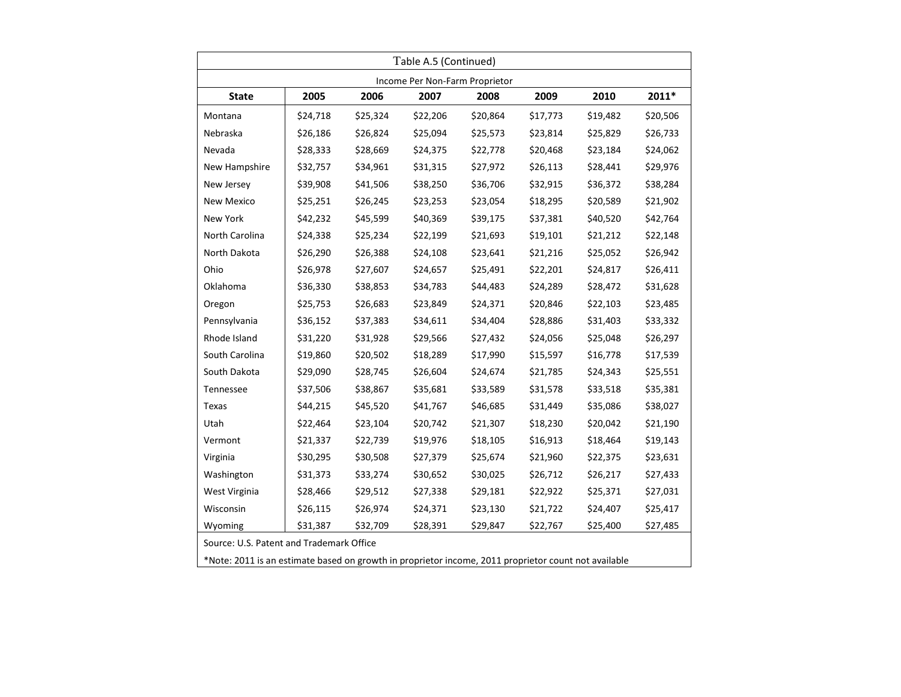| Table A.5 (Continued)                                                                                |          |          |          |          |          |          |          |  |  |  |  |
|------------------------------------------------------------------------------------------------------|----------|----------|----------|----------|----------|----------|----------|--|--|--|--|
| Income Per Non-Farm Proprietor                                                                       |          |          |          |          |          |          |          |  |  |  |  |
| <b>State</b>                                                                                         | 2005     | 2006     | 2007     | 2008     | 2009     | 2010     | 2011*    |  |  |  |  |
| Montana                                                                                              | \$24,718 | \$25,324 | \$22,206 | \$20,864 | \$17,773 | \$19,482 | \$20,506 |  |  |  |  |
| Nebraska                                                                                             | \$26,186 | \$26,824 | \$25,094 | \$25,573 | \$23,814 | \$25,829 | \$26,733 |  |  |  |  |
| Nevada                                                                                               | \$28,333 | \$28,669 | \$24,375 | \$22,778 | \$20,468 | \$23,184 | \$24,062 |  |  |  |  |
| New Hampshire                                                                                        | \$32,757 | \$34,961 | \$31,315 | \$27,972 | \$26,113 | \$28,441 | \$29,976 |  |  |  |  |
| New Jersey                                                                                           | \$39,908 | \$41,506 | \$38,250 | \$36,706 | \$32,915 | \$36,372 | \$38,284 |  |  |  |  |
| New Mexico                                                                                           | \$25,251 | \$26,245 | \$23,253 | \$23,054 | \$18,295 | \$20,589 | \$21,902 |  |  |  |  |
| New York                                                                                             | \$42,232 | \$45,599 | \$40,369 | \$39,175 | \$37,381 | \$40,520 | \$42,764 |  |  |  |  |
| North Carolina                                                                                       | \$24,338 | \$25,234 | \$22,199 | \$21,693 | \$19,101 | \$21,212 | \$22,148 |  |  |  |  |
| North Dakota                                                                                         | \$26,290 | \$26,388 | \$24,108 | \$23,641 | \$21,216 | \$25,052 | \$26,942 |  |  |  |  |
| Ohio                                                                                                 | \$26,978 | \$27,607 | \$24,657 | \$25,491 | \$22,201 | \$24,817 | \$26,411 |  |  |  |  |
| Oklahoma                                                                                             | \$36,330 | \$38,853 | \$34,783 | \$44,483 | \$24,289 | \$28,472 | \$31,628 |  |  |  |  |
| Oregon                                                                                               | \$25,753 | \$26,683 | \$23,849 | \$24,371 | \$20,846 | \$22,103 | \$23,485 |  |  |  |  |
| Pennsylvania                                                                                         | \$36,152 | \$37,383 | \$34,611 | \$34,404 | \$28,886 | \$31,403 | \$33,332 |  |  |  |  |
| Rhode Island                                                                                         | \$31,220 | \$31,928 | \$29,566 | \$27,432 | \$24,056 | \$25,048 | \$26,297 |  |  |  |  |
| South Carolina                                                                                       | \$19,860 | \$20,502 | \$18,289 | \$17,990 | \$15,597 | \$16,778 | \$17,539 |  |  |  |  |
| South Dakota                                                                                         | \$29,090 | \$28,745 | \$26,604 | \$24,674 | \$21,785 | \$24,343 | \$25,551 |  |  |  |  |
| Tennessee                                                                                            | \$37,506 | \$38,867 | \$35,681 | \$33,589 | \$31,578 | \$33,518 | \$35,381 |  |  |  |  |
| Texas                                                                                                | \$44,215 | \$45,520 | \$41,767 | \$46,685 | \$31,449 | \$35,086 | \$38,027 |  |  |  |  |
| Utah                                                                                                 | \$22,464 | \$23,104 | \$20,742 | \$21,307 | \$18,230 | \$20,042 | \$21,190 |  |  |  |  |
| Vermont                                                                                              | \$21,337 | \$22,739 | \$19,976 | \$18,105 | \$16,913 | \$18,464 | \$19,143 |  |  |  |  |
| Virginia                                                                                             | \$30,295 | \$30,508 | \$27,379 | \$25,674 | \$21,960 | \$22,375 | \$23,631 |  |  |  |  |
| Washington                                                                                           | \$31,373 | \$33,274 | \$30,652 | \$30,025 | \$26,712 | \$26,217 | \$27,433 |  |  |  |  |
| West Virginia                                                                                        | \$28,466 | \$29,512 | \$27,338 | \$29,181 | \$22,922 | \$25,371 | \$27,031 |  |  |  |  |
| Wisconsin                                                                                            | \$26,115 | \$26,974 | \$24,371 | \$23,130 | \$21,722 | \$24,407 | \$25,417 |  |  |  |  |
| Wyoming                                                                                              | \$31,387 | \$32,709 | \$28,391 | \$29,847 | \$22,767 | \$25,400 | \$27,485 |  |  |  |  |
| Source: U.S. Patent and Trademark Office                                                             |          |          |          |          |          |          |          |  |  |  |  |
| *Note: 2011 is an estimate based on growth in proprietor income, 2011 proprietor count not available |          |          |          |          |          |          |          |  |  |  |  |